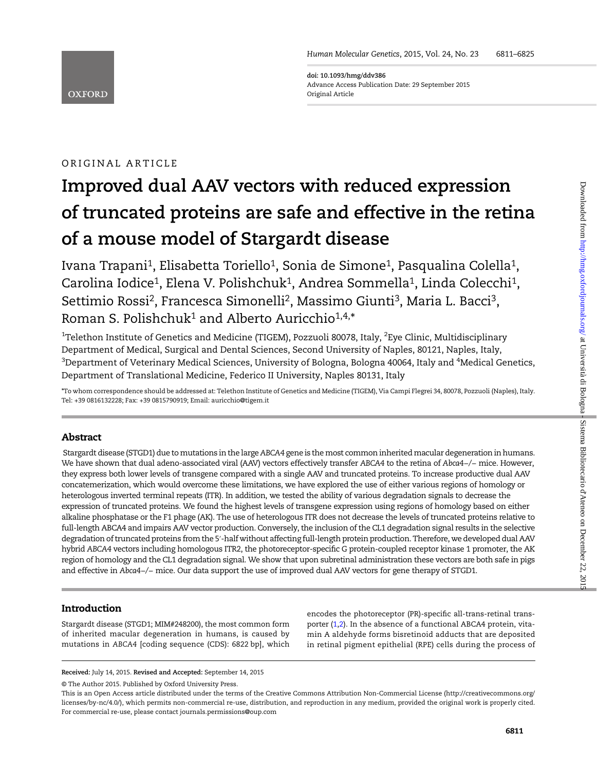doi: 10.1093/hmg/ddv386 Advance Access Publication Date: 29 September 2015 Original Article

# ORIGINAL ARTICLE

**OXFORD** 

# Improved dual AAV vectors with reduced expression of truncated proteins are safe and effective in the retina of a mouse model of Stargardt disease

Ivana Trapani<sup>1</sup>, Elisabetta Toriello<sup>1</sup>, Sonia de Simone<sup>1</sup>, Pasqualina Colella<sup>1</sup>, Carolina Iodice<sup>1</sup>, Elena V. Polishchuk<sup>1</sup>, Andrea Sommella<sup>1</sup>, Linda Colecchi<sup>1</sup>, Settimio Rossi<sup>2</sup>, Francesca Simonelli<sup>2</sup>, Massimo Giunti<sup>3</sup>, Maria L. Bacci<sup>3</sup>, Roman S. Polishchuk<sup>1</sup> and Alberto Auricchio<sup>1,4,\*</sup>

 $^{\rm 1}$ Telethon Institute of Genetics and Medicine (TIGEM), Pozzuoli 80078, Italy,  $^{\rm 2}$ Eye Clinic, Multidisciplinary Department of Medical, Surgical and Dental Sciences, Second University of Naples, 80121, Naples, Italy,  $^{\rm 3}$ Department of Veterinary Medical Sciences, University of Bologna, Bologna 40064, Italy and  $^{\rm 4}$ Medical Genetics, Department of Translational Medicine, Federico II University, Naples 80131, Italy

\*To whom correspondence should be addressed at: Telethon Institute of Genetics and Medicine (TIGEM), Via Campi Flegrei 34, 80078, Pozzuoli (Naples), Italy. Tel: +39 0816132228; Fax: +39 0815790919; Email: auricchio@tigem.it

# Abstract

Stargardt disease (STGD1) due to mutations in the large ABCA4 gene is the most common inherited macular degeneration in humans. We have shown that dual adeno-associated viral (AAV) vectors effectively transfer ABCA4 to the retina of Abca4−/− mice. However, they express both lower levels of transgene compared with a single AAV and truncated proteins. To increase productive dual AAV concatemerization, which would overcome these limitations, we have explored the use of either various regions of homology or heterologous inverted terminal repeats (ITR). In addition, we tested the ability of various degradation signals to decrease the expression of truncated proteins. We found the highest levels of transgene expression using regions of homology based on either alkaline phosphatase or the F1 phage (AK). The use of heterologous ITR does not decrease the levels of truncated proteins relative to full-length ABCA4 and impairs AAV vector production. Conversely, the inclusion of the CL1 degradation signal results in the selective degradation of truncated proteins from the 5′-half without affecting full-length protein production. Therefore, we developed dual AAV hybrid ABCA4 vectors including homologous ITR2, the photoreceptor-specific G protein-coupled receptor kinase 1 promoter, the AK region of homology and the CL1 degradation signal. We show that upon subretinal administration these vectors are both safe in pigs and effective in Abca4−/− mice. Our data support the use of improved dual AAV vectors for gene therapy of STGD1.

# Introduction

Stargardt disease (STGD1; MIM#248200), the most common form of inherited macular degeneration in humans, is caused by mutations in ABCA4 [coding sequence (CDS): 6822 bp], which

encodes the photoreceptor (PR)-specific all-trans-retinal transporter ([1,2](#page-12-0)). In the absence of a functional ABCA4 protein, vitamin A aldehyde forms bisretinoid adducts that are deposited in retinal pigment epithelial (RPE) cells during the process of

Received: July 14, 2015. Revised and Accepted: September 14, 2015

<sup>©</sup> The Author 2015. Published by Oxford University Press.

This is an Open Access article distributed under the terms of the Creative Commons Attribution Non-Commercial License ([http://creativecommons.org/](http://creativecommons.org/licenses/by-nc/4.0/) [licenses/by-nc/4.0/](http://creativecommons.org/licenses/by-nc/4.0/)), which permits non-commercial re-use, distribution, and reproduction in any medium, provided the original work is properly cited. For commercial re-use, please contact journals.permissions@oup.com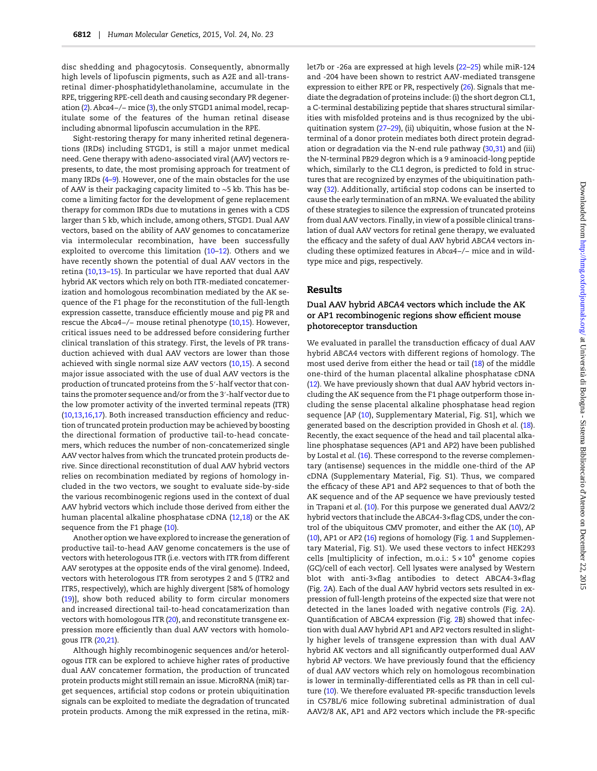disc shedding and phagocytosis. Consequently, abnormally high levels of lipofuscin pigments, such as A2E and all-transretinal dimer-phosphatidylethanolamine, accumulate in the RPE, triggering RPE-cell death and causing secondary PR degeneration ([2\)](#page-12-0). Abca4−/− mice ([3](#page-12-0)), the only STGD1 animal model, recapitulate some of the features of the human retinal disease including abnormal lipofuscin accumulation in the RPE.

Sight-restoring therapy for many inherited retinal degenerations (IRDs) including STGD1, is still a major unmet medical need. Gene therapy with adeno-associated viral (AAV) vectors represents, to date, the most promising approach for treatment of many IRDs [\(4](#page-12-0)–[9\)](#page-12-0). However, one of the main obstacles for the use of AAV is their packaging capacity limited to ∼5 kb. This has become a limiting factor for the development of gene replacement therapy for common IRDs due to mutations in genes with a CDS larger than 5 kb, which include, among others, STGD1. Dual AAV vectors, based on the ability of AAV genomes to concatamerize via intermolecular recombination, have been successfully exploited to overcome this limitation ([10](#page-12-0)–[12\)](#page-13-0). Others and we have recently shown the potential of dual AAV vectors in the retina ([10,](#page-12-0)[13](#page-13-0)–[15\)](#page-13-0). In particular we have reported that dual AAV hybrid AK vectors which rely on both ITR-mediated concatemerization and homologous recombination mediated by the AK sequence of the F1 phage for the reconstitution of the full-length expression cassette, transduce efficiently mouse and pig PR and rescue the Abca4−/− mouse retinal phenotype ([10,](#page-12-0)[15](#page-13-0)). However, critical issues need to be addressed before considering further clinical translation of this strategy. First, the levels of PR transduction achieved with dual AAV vectors are lower than those achieved with single normal size AAV vectors [\(10,](#page-12-0)[15](#page-13-0)). A second major issue associated with the use of dual AAV vectors is the production of truncated proteins from the 5′-half vector that contains the promoter sequence and/or from the 3′-half vector due to the low promoter activity of the inverted terminal repeats (ITR) ([10,](#page-12-0)[13](#page-13-0),[16,17](#page-13-0)). Both increased transduction efficiency and reduction of truncated protein production may be achieved by boosting the directional formation of productive tail-to-head concatemers, which reduces the number of non-concatemerized single AAV vector halves from which the truncated protein products derive. Since directional reconstitution of dual AAV hybrid vectors relies on recombination mediated by regions of homology included in the two vectors, we sought to evaluate side-by-side the various recombinogenic regions used in the context of dual AAV hybrid vectors which include those derived from either the human placental alkaline phosphatase cDNA ([12,18\)](#page-13-0) or the AK sequence from the F1 phage ([10](#page-12-0)).

Another option we have explored to increase the generation of productive tail-to-head AAV genome concatemers is the use of vectors with heterologous ITR (i.e. vectors with ITR from different AAV serotypes at the opposite ends of the viral genome). Indeed, vectors with heterologous ITR from serotypes 2 and 5 (ITR2 and ITR5, respectively), which are highly divergent [58% of homology ([19](#page-13-0))], show both reduced ability to form circular monomers and increased directional tail-to-head concatamerization than vectors with homologous ITR ([20\)](#page-13-0), and reconstitute transgene expression more efficiently than dual AAV vectors with homologous ITR [\(20,21\)](#page-13-0).

Although highly recombinogenic sequences and/or heterologous ITR can be explored to achieve higher rates of productive dual AAV concatemer formation, the production of truncated protein products might still remain an issue. MicroRNA (miR) target sequences, artificial stop codons or protein ubiquitination signals can be exploited to mediate the degradation of truncated protein products. Among the miR expressed in the retina, miR-

let7b or -26a are expressed at high levels ([22](#page-13-0)–[25](#page-13-0)) while miR-124 and -204 have been shown to restrict AAV-mediated transgene expression to either RPE or PR, respectively [\(26](#page-13-0)). Signals that mediate the degradation of proteins include: (i) the short degron CL1, a C-terminal destabilizing peptide that shares structural similarities with misfolded proteins and is thus recognized by the ubiquitination system ([27](#page-13-0)–[29](#page-13-0)), (ii) ubiquitin, whose fusion at the Nterminal of a donor protein mediates both direct protein degradation or degradation via the N-end rule pathway ([30,31](#page-13-0)) and (iii) the N-terminal PB29 degron which is a 9 aminoacid-long peptide which, similarly to the CL1 degron, is predicted to fold in structures that are recognized by enzymes of the ubiquitination pathway ([32](#page-13-0)). Additionally, artificial stop codons can be inserted to cause the early termination of an mRNA. We evaluated the ability of these strategies to silence the expression of truncated proteins from dual AAV vectors. Finally, in view of a possible clinical translation of dual AAV vectors for retinal gene therapy, we evaluated the efficacy and the safety of dual AAV hybrid ABCA4 vectors including these optimized features in Abca4−/− mice and in wildtype mice and pigs, respectively.

#### Results

# Dual AAV hybrid ABCA4 vectors which include the AK or AP1 recombinogenic regions show efficient mouse photoreceptor transduction

We evaluated in parallel the transduction efficacy of dual AAV hybrid ABCA4 vectors with different regions of homology. The most used derive from either the head or tail [\(18\)](#page-13-0) of the middle one-third of the human placental alkaline phosphatase cDNA [\(12\)](#page-13-0). We have previously shown that dual AAV hybrid vectors including the AK sequence from the F1 phage outperform those including the sense placental alkaline phosphatase head region sequence [AP [\(10\)](#page-12-0), [Supplementary Material, Fig. S1\]](http://hmg.oxfordjournals.org/lookup/suppl/doi:10.1093/hmg/ddv386/-/DC1), which we generated based on the description provided in Ghosh et al. [\(18\)](#page-13-0). Recently, the exact sequence of the head and tail placental alkaline phosphatase sequences (AP1 and AP2) have been published by Lostal et al. ([16\)](#page-13-0). These correspond to the reverse complementary (antisense) sequences in the middle one-third of the AP cDNA [\(Supplementary Material, Fig. S1](http://hmg.oxfordjournals.org/lookup/suppl/doi:10.1093/hmg/ddv386/-/DC1)). Thus, we compared the efficacy of these AP1 and AP2 sequences to that of both the AK sequence and of the AP sequence we have previously tested in Trapani et al. [\(10\)](#page-12-0). For this purpose we generated dual AAV2/2 hybrid vectors that include the ABCA4-3×flag CDS, under the control of the ubiquitous CMV promoter, and either the AK [\(10\)](#page-12-0), AP [\(10\)](#page-12-0), AP1 or AP2 [\(16](#page-13-0)) regions of homology (Fig. [1](#page-2-0) and [Supplemen](http://hmg.oxfordjournals.org/lookup/suppl/doi:10.1093/hmg/ddv386/-/DC1)[tary Material, Fig. S1\)](http://hmg.oxfordjournals.org/lookup/suppl/doi:10.1093/hmg/ddv386/-/DC1). We used these vectors to infect HEK293 cells [multiplicity of infection, m.o.i.:  $5 \times 10^4$  genome copies (GC)/cell of each vector]. Cell lysates were analysed by Western blot with anti-3×flag antibodies to detect ABCA4-3×flag (Fig. [2](#page-2-0)A). Each of the dual AAV hybrid vectors sets resulted in expression of full-length proteins of the expected size that were not detected in the lanes loaded with negative controls (Fig. [2A](#page-2-0)). Quantification of ABCA4 expression (Fig. [2B](#page-2-0)) showed that infection with dual AAV hybrid AP1 and AP2 vectors resulted in slightly higher levels of transgene expression than with dual AAV hybrid AK vectors and all significantly outperformed dual AAV hybrid AP vectors. We have previously found that the efficiency of dual AAV vectors which rely on homologous recombination is lower in terminally-differentiated cells as PR than in cell culture ([10\)](#page-12-0). We therefore evaluated PR-specific transduction levels in C57BL/6 mice following subretinal administration of dual AAV2/8 AK, AP1 and AP2 vectors which include the PR-specific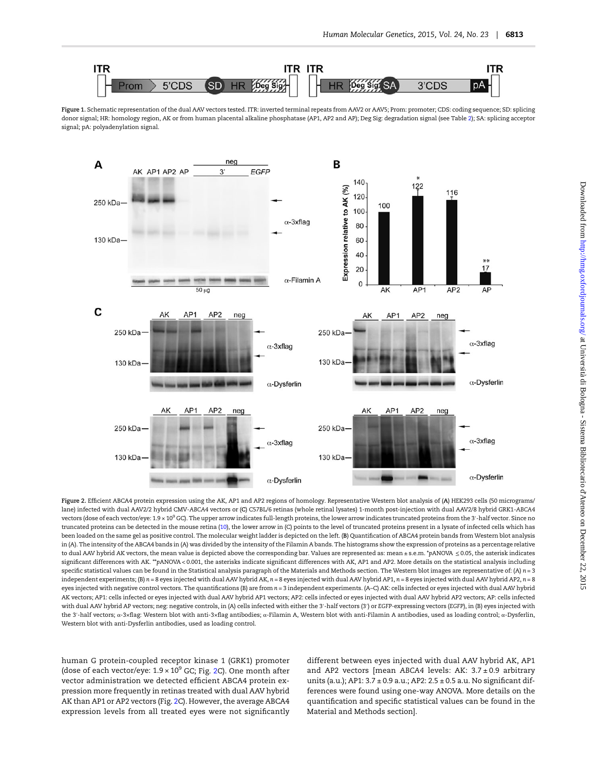<span id="page-2-0"></span>

Figure 1. Schematic representation of the dual AAV vectors tested. ITR: inverted terminal repeats from AAV2 or AAV5; Prom: promoter; CDS: coding sequence; SD: splicing donor signal; HR: homology region, AK or from human placental alkaline phosphatase (AP1, AP2 and AP); Deg Sig: degradation signal (see Table [2\)](#page-3-0); SA: splicing acceptor signal; pA: polyadenylation signal.



Figure 2. Efficient ABCA4 protein expression using the AK, AP1 and AP2 regions of homology. Representative Western blot analysis of (A) HEK293 cells (50 micrograms/ lane) infected with dual AAV2/2 hybrid CMV-ABCA4 vectors or (C) C57BL/6 retinas (whole retinal lysates) 1-month post-injection with dual AAV2/8 hybrid GRK1-ABCA4 vectors (dose of each vector/eye: 1.9 × 10<sup>9</sup> GC). The upper arrow indicates full-length proteins, the lower arrow indicates truncated proteins from the 3'-half vector. Since no truncated proteins can be detected in the mouse retina ([10\)](#page-12-0), the lower arrow in (C) points to the level of truncated proteins present in a lysate of infected cells which has been loaded on the same gel as positive control. The molecular weight ladder is depicted on the left. (B) Quantification of ABCA4 protein bands from Western blot analysis in (A). The intensity of the ABCA4 bands in (A) was divided by the intensity of the Filamin A bands. The histograms show the expression of proteins as a percentage relative to dual AAV hybrid AK vectors, the mean value is depicted above the corresponding bar. Values are represented as: mean ± s.e.m. \*pANOVA  $\leq 0.05$ , the asterisk indicates significant differences with AK. \*\*pANOVA < 0.001, the asterisks indicate significant differences with AK, AP1 and AP2. More details on the statistical analysis including specific statistical values can be found in the Statistical analysis paragraph of the Materials and Methods section. The Western blot images are representative of: (A)  $n = 3$ independent experiments; (B) n = 8 eyes injected with dual AAV hybrid AK, n = 8 eyes injected with dual AAV hybrid AP1, n = 8 eyes injected with dual AAV hybrid AP2, n = 8 eyes injected with negative control vectors. The quantifications (B) are from  $n = 3$  independent experiments. (A-C) AK: cells infected or eyes injected with dual AAV hybrid AK vectors; AP1: cells infected or eyes injected with dual AAV hybrid AP1 vectors; AP2: cells infected or eyes injected with dual AAV hybrid AP2 vectors; AP: cells infected with dual AAV hybrid AP vectors; neg: negative controls, in (A) cells infected with either the 3'-half vectors (3') or EGFP-expressing vectors (EGFP), in (B) eyes injected with the 3′-half vectors; α-3×flag: Western blot with anti-3×flag antibodies; α-Filamin A, Western blot with anti-Filamin A antibodies, used as loading control; α-Dysferlin, Western blot with anti-Dysferlin antibodies, used as loading control.

human G protein-coupled receptor kinase 1 (GRK1) promoter (dose of each vector/eye:  $1.9 \times 10^9$  GC; Fig. 2C). One month after vector administration we detected efficient ABCA4 protein expression more frequently in retinas treated with dual AAV hybrid AK than AP1 or AP2 vectors (Fig. 2C). However, the average ABCA4 expression levels from all treated eyes were not significantly

different between eyes injected with dual AAV hybrid AK, AP1 and AP2 vectors [mean ABCA4 levels: AK:  $3.7 \pm 0.9$  arbitrary units (a.u.); AP1:  $3.7 \pm 0.9$  a.u.; AP2:  $2.5 \pm 0.5$  a.u. No significant differences were found using one-way ANOVA. More details on the quantification and specific statistical values can be found in the Material and Methods section].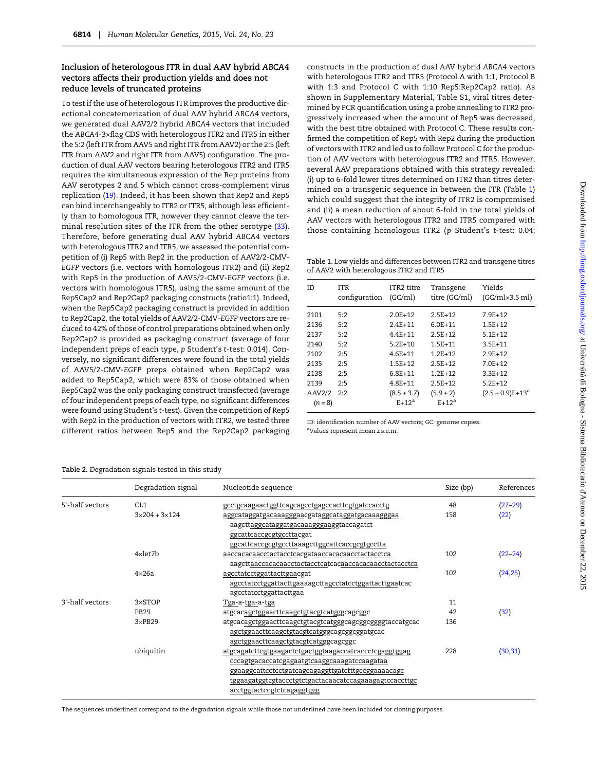## <span id="page-3-0"></span>Inclusion of heterologous ITR in dual AAV hybrid ABCA4 vectors affects their production yields and does not reduce levels of truncated proteins

To test if the use of heterologous ITR improves the productive directional concatemerization of dual AAV hybrid ABCA4 vectors, we generated dual AAV2/2 hybrid ABCA4 vectors that included the ABCA4-3×flag CDS with heterologous ITR2 and ITR5 in either the 5:2 (left ITR from AAV5 and right ITR from AAV2) or the 2:5 (left ITR from AAV2 and right ITR from AAV5) configuration. The production of dual AAV vectors bearing heterologous ITR2 and ITR5 requires the simultaneous expression of the Rep proteins from AAV serotypes 2 and 5 which cannot cross-complement virus replication [\(19\)](#page-13-0). Indeed, it has been shown that Rep2 and Rep5 can bind interchangeably to ITR2 or ITR5, although less efficiently than to homologous ITR, however they cannot cleave the terminal resolution sites of the ITR from the other serotype ([33\)](#page-13-0). Therefore, before generating dual AAV hybrid ABCA4 vectors with heterologous ITR2 and ITR5, we assessed the potential competition of (i) Rep5 with Rep2 in the production of AAV2/2-CMV-EGFP vectors (i.e. vectors with homologous ITR2) and (ii) Rep2 with Rep5 in the production of AAV5/2-CMV-EGFP vectors (i.e. vectors with homologous ITR5), using the same amount of the Rep5Cap2 and Rep2Cap2 packaging constructs (ratio1:1). Indeed, when the Rep5Cap2 packaging construct is provided in addition to Rep2Cap2, the total yields of AAV2/2-CMV-EGFP vectors are reduced to 42% of those of control preparations obtained when only Rep2Cap2 is provided as packaging construct (average of four independent preps of each type, p Student's t-test: 0.014). Conversely, no significant differences were found in the total yields of AAV5/2-CMV-EGFP preps obtained when Rep2Cap2 was added to Rep5Cap2, which were 83% of those obtained when Rep5Cap2 was the only packaging construct transfected (average of four independent preps of each type, no significant differences were found using Student's t-test). Given the competition of Rep5 with Rep2 in the production of vectors with ITR2, we tested three different ratios between Rep5 and the Rep2Cap2 packaging

constructs in the production of dual AAV hybrid ABCA4 vectors with heterologous ITR2 and ITR5 (Protocol A with 1:1, Protocol B with 1:3 and Protocol C with 1:10 Rep5:Rep2Cap2 ratio). As shown in [Supplementary Material, Table S1,](http://hmg.oxfordjournals.org/lookup/suppl/doi:10.1093/hmg/ddv386/-/DC1) viral titres determined by PCR quantification using a probe annealing to ITR2 progressively increased when the amount of Rep5 was decreased, with the best titre obtained with Protocol C. These results confirmed the competition of Rep5 with Rep2 during the production of vectors with ITR2 and led us to follow Protocol C for the production of AAV vectors with heterologous ITR2 and ITR5. However, several AAV preparations obtained with this strategy revealed: (i) up to 6-fold lower titres determined on ITR2 than titres determined on a transgenic sequence in between the ITR (Table 1) which could suggest that the integrity of ITR2 is compromised and (ii) a mean reduction of about 6-fold in the total yields of AAV vectors with heterologous ITR2 and ITR5 compared with those containing homologous ITR2 (p Student's t-test: 0.04;

Table 1. Low yields and differences between ITR2 and transgene titres of AAV2 with heterologous ITR2 and ITR5

| ID                  | <b>ITR</b><br>configuration | ITR <sub>2</sub> titre<br>(GC/ml) | Transgene<br>titre (GC/ml) | Yields<br>$(GC/ml \times 3.5 ml)$ |
|---------------------|-----------------------------|-----------------------------------|----------------------------|-----------------------------------|
| 2101                | 5:2                         | $2.0E+12$                         | $2.5E+12$                  | $7.9E+12$                         |
| 2136                | 5:2                         | $24F+11$                          | $6.0E + 11$                | $1.5E+12$                         |
| 2137                | 5:2                         | $4.4E + 11$                       | $2.5E+12$                  | $5.1E+12$                         |
| 2140                | 5:2                         | $5.2E+10$                         | $1.5E + 11$                | $3.5E + 11$                       |
| 2102                | 2:5                         | $4.6E + 11$                       | $1.2E+12$                  | $29F+12$                          |
| 2135                | 2:5                         | $1.5E+12$                         | $2.5E+12$                  | $7.0E + 12$                       |
| 2138                | 2:5                         | $6.8E + 11$                       | $1.2E+12$                  | $3.3E+12$                         |
| 2139                | 2:5                         | $4.8E + 11$                       | $2.5E+12$                  | $5.2E+12$                         |
| AAV2/2<br>$(n = 8)$ | 2:2                         | $(8.5 \pm 3.7)$<br>$E+12^a$       | $(5.9 \pm 2)$<br>$E+12^a$  | $(2.5 \pm 0.9)E + 13^a$           |
|                     |                             |                                   |                            |                                   |

ID: identification number of AAV vectors; GC: genome copies. a Values represent mean ± s.e.m.

#### Table 2. Degradation signals tested in this study

|                 | Degradation signal            | Nucleotide sequence                                      | Size (bp) | References  |
|-----------------|-------------------------------|----------------------------------------------------------|-----------|-------------|
| 5'-half vectors | CL1                           | gcctgcaagaactggttcagcagcctgagccacttcgtgatccacctg         | 48        | $(27-29)$   |
|                 | $3 \times 204 + 3 \times 124$ | aggcataggatgacaaagggaacgataggcataggatgacaaagggaa         | 158       | (22)        |
|                 |                               | aagcttaggcataggatgacaaagggaaggtaccagatct                 |           |             |
|                 |                               | ggcattcaccgcgtgccttacgat                                 |           |             |
|                 |                               | ggcattcaccgcgtgccttaaagcttggcattcaccgcgtgcctta           |           |             |
|                 | $4 \times let 7b$             | aaccacacaacctactacctcacgataaccacacaacctactacctca         | 102       | $(22 - 24)$ |
|                 |                               |                                                          |           |             |
|                 | $4\times 26a$                 | agcctatcctggattacttgaacgat                               | 102       | (24, 25)    |
|                 |                               | agcctatcctggattacttgaaaagcttagcctatcctggattacttgaatcac   |           |             |
|                 |                               | agcctatcctggattacttgaa                                   |           |             |
| 3'-half vectors | $3\times$ STOP                | Tga-a-tga-a-tga                                          | 11        |             |
|                 | PB <sub>29</sub>              | atgcacagctggaacttcaagctgtacgtcatgggcagcggc               | 42        | (32)        |
|                 | $3\times$ PB29                | atgcacagctggaacttcaagctgtacgtcatgggcagcggcggggtaccatgcac | 136       |             |
|                 |                               | agctggaacttcaagctgtacgtcatgggcagcggcggatgcac             |           |             |
|                 |                               | agctggaacttcaagctgtacgtcatgggcagcggc                     |           |             |
|                 | ubiquitin                     | atgcagatcttcgtgaagactctgactggtaagaccatcaccctcgaggtggag   | 228       | (30, 31)    |
|                 |                               | cccagtgacaccatcgagaatgtcaaggcaaagatccaagataa             |           |             |
|                 |                               | ggaaggcattcctcctgatcagcagaggttgatctttgccggaaaacagc       |           |             |
|                 |                               | tggaagatggtcgtaccctgtctgactacaacatccagaaagagtccaccttgc   |           |             |
|                 |                               | acctggtactccgtctcagaggtggg                               |           |             |
|                 |                               |                                                          |           |             |

The sequences underlined correspond to the degradation signals while those not underlined have been included for cloning purposes.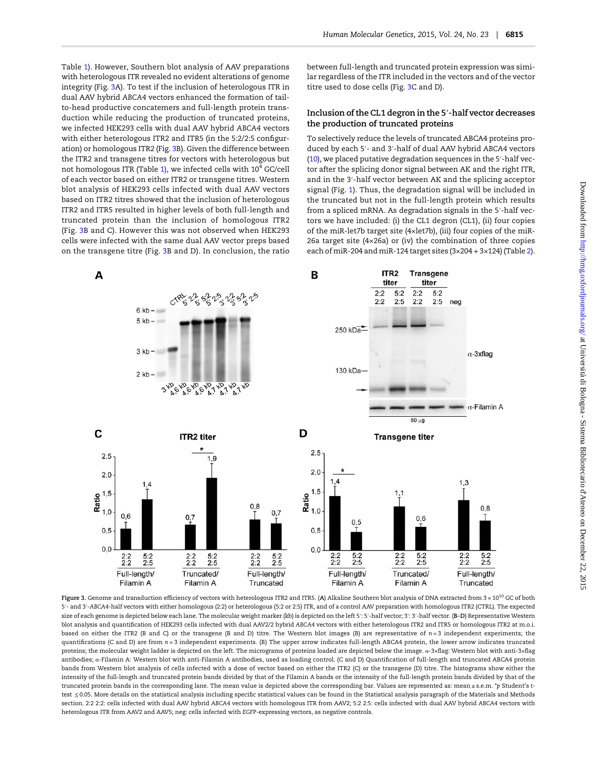<span id="page-4-0"></span>Table [1](#page-3-0)). However, Southern blot analysis of AAV preparations with heterologous ITR revealed no evident alterations of genome integrity (Fig. 3A). To test if the inclusion of heterologous ITR in dual AAV hybrid ABCA4 vectors enhanced the formation of tailto-head productive concatemers and full-length protein transduction while reducing the production of truncated proteins, we infected HEK293 cells with dual AAV hybrid ABCA4 vectors with either heterologous ITR2 and ITR5 (in the 5:2/2:5 configuration) or homologous ITR2 (Fig. 3B). Given the difference between the ITR2 and transgene titres for vectors with heterologous but not homologous ITR (Table [1\)](#page-3-0), we infected cells with  $10^4$  GC/cell of each vector based on either ITR2 or transgene titres. Western blot analysis of HEK293 cells infected with dual AAV vectors based on ITR2 titres showed that the inclusion of heterologous ITR2 and ITR5 resulted in higher levels of both full-length and truncated protein than the inclusion of homologous ITR2 (Fig. 3B and C). However this was not observed when HEK293 cells were infected with the same dual AAV vector preps based on the transgene titre (Fig. 3B and D). In conclusion, the ratio

between full-length and truncated protein expression was similar regardless of the ITR included in the vectors and of the vector titre used to dose cells (Fig. 3C and D).

## Inclusion of the CL1 degron in the 5′-half vector decreases the production of truncated proteins

To selectively reduce the levels of truncated ABCA4 proteins produced by each 5′- and 3′-half of dual AAV hybrid ABCA4 vectors [\(10\)](#page-12-0), we placed putative degradation sequences in the 5′-half vector after the splicing donor signal between AK and the right ITR, and in the 3′-half vector between AK and the splicing acceptor signal (Fig. [1](#page-2-0)). Thus, the degradation signal will be included in the truncated but not in the full-length protein which results from a spliced mRNA. As degradation signals in the 5′-half vectors we have included: (i) the CL1 degron (CL1), (ii) four copies of the miR-let7b target site (4×let7b), (iii) four copies of the miR-26a target site (4×26a) or (iv) the combination of three copies each of miR-204 and miR-124 target sites (3×204 + 3×124) (Table [2\)](#page-3-0).



Figure 3. Genome and transduction efficiency of vectors with heterologous ITR2 and ITR5. (A) Alkaline Southern blot analysis of DNA extracted from  $3 \times 10^{10}$  GC of both 5′- and 3′-ABCA4-half vectors with either homologous (2:2) or heterologous (5:2 or 2:5) ITR, and of a control AAV preparation with homologous ITR2 (CTRL). The expected size of each genome is depicted below each lane. The molecular weight marker (kb) is depicted on the left 5′: 5′-half vector; 3′: 3′-half vector. (B-D) Representative Western blot analysis and quantification of HEK293 cells infected with dual AAV2/2 hybrid ABCA4 vectors with either heterologous ITR2 and ITR5 or homologous ITR2 at m.o.i. based on either the ITR2 (B and C) or the transgene (B and D) titre. The Western blot images (B) are representative of  $n = 3$  independent experiments; the quantifications (C and D) are from  $n = 3$  independent experiments. (B) The upper arrow indicates full-length ABCA4 protein, the lower arrow indicates truncated proteins; the molecular weight ladder is depicted on the left. The micrograms of proteins loaded are depicted below the image. α-3×flag: Western blot with anti-3×flag antibodies; α-Filamin A: Western blot with anti-Filamin A antibodies, used as loading control. (C and D) Quantification of full-length and truncated ABCA4 protein bands from Western blot analysis of cells infected with a dose of vector based on either the ITR2 (C) or the transgene (D) titre. The histograms show either the intensity of the full-length and truncated protein bands divided by that of the Filamin A bands or the intensity of the full-length protein bands divided by that of the truncated protein bands in the corresponding lane. The mean value is depicted above the corresponding bar. Values are represented as: mean ± s.e.m. \*p Student's ttest ≤ 0.05. More details on the statistical analysis including specific statistical values can be found in the Statistical analysis paragraph of the Materials and Methods section. 2:2 2:2: cells infected with dual AAV hybrid ABCA4 vectors with homologous ITR from AAV2; 5:2 2:5: cells infected with dual AAV hybrid ABCA4 vectors with heterologous ITR from AAV2 and AAV5; neg: cells infected with EGFP-expressing vectors, as negative controls.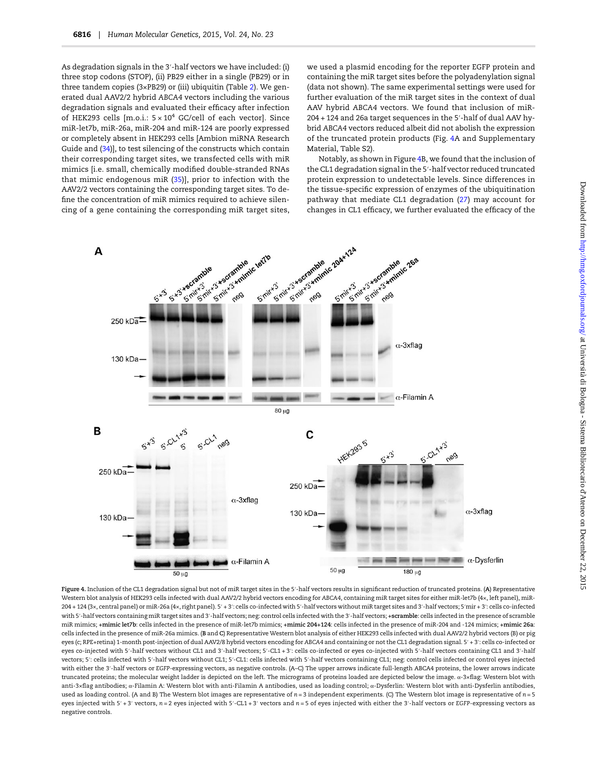<span id="page-5-0"></span>As degradation signals in the 3′-half vectors we have included: (i) three stop codons (STOP), (ii) PB29 either in a single (PB29) or in three tandem copies (3×PB29) or (iii) ubiquitin (Table [2\)](#page-3-0). We generated dual AAV2/2 hybrid ABCA4 vectors including the various degradation signals and evaluated their efficacy after infection of HEK293 cells [m.o.i.:  $5 \times 10^4$  GC/cell of each vector]. Since miR-let7b, miR-26a, miR-204 and miR-124 are poorly expressed or completely absent in HEK293 cells [Ambion miRNA Research Guide and ([34](#page-13-0))], to test silencing of the constructs which contain their corresponding target sites, we transfected cells with miR mimics [i.e. small, chemically modified double-stranded RNAs that mimic endogenous miR [\(35\)](#page-13-0)], prior to infection with the AAV2/2 vectors containing the corresponding target sites. To define the concentration of miR mimics required to achieve silencing of a gene containing the corresponding miR target sites,

we used a plasmid encoding for the reporter EGFP protein and containing the miR target sites before the polyadenylation signal (data not shown). The same experimental settings were used for further evaluation of the miR target sites in the context of dual AAV hybrid ABCA4 vectors. We found that inclusion of miR-204 + 124 and 26a target sequences in the 5′-half of dual AAV hybrid ABCA4 vectors reduced albeit did not abolish the expression of the truncated protein products (Fig. 4A and [Supplementary](http://hmg.oxfordjournals.org/lookup/suppl/doi:10.1093/hmg/ddv386/-/DC1) [Material, Table S2](http://hmg.oxfordjournals.org/lookup/suppl/doi:10.1093/hmg/ddv386/-/DC1)).

Notably, as shown in Figure 4B, we found that the inclusion of the CL1 degradation signal in the 5′-half vector reduced truncated protein expression to undetectable levels. Since differences in the tissue-specific expression of enzymes of the ubiquitination pathway that mediate CL1 degradation ([27](#page-13-0)) may account for changes in CL1 efficacy, we further evaluated the efficacy of the



Figure 4. Inclusion of the CL1 degradation signal but not of miR target sites in the 5′-half vectors results in significant reduction of truncated proteins. (A) Representative Western blot analysis of HEK293 cells infected with dual AAV2/2 hybrid vectors encoding for ABCA4, containing miR target sites for either miR-let7b (4×, left panel), miR-204 + 124 (3×, central panel) or miR-26a (4×, right panel). 5′ + 3′: cells co-infected with 5′-half vectors without miR target sites and 3′-half vectors; 5′mir + 3′: cells co-infected with 5'-half vectors containing miR target sites and 3'-half vectors; neg: control cells infected with the 3'-half vectors; +scramble: cells infected in the presence of scramble miR mimics; +mimic let7b: cells infected in the presence of miR-let7b mimics; +mimic 204+124: cells infected in the presence of miR-204 and -124 mimics; +mimic 26a: cells infected in the presence of miR-26a mimics. (B and C) Representative Western blot analysis of either HEK293 cells infected with dual AAV2/2 hybrid vectors (B) or pig eyes (c; RPE+retina) 1-month post-injection of dual AAV2/8 hybrid vectors encoding for ABCA4 and containing or not the CL1 degradation signal. 5′ + 3′: cells co-infected or eyes co-injected with 5'-half vectors without CL1 and 3'-half vectors; 5'-CL1 + 3': cells co-infected or eyes co-injected with 5'-half vectors containing CL1 and 3'-half vectors; 5′: cells infected with 5′-half vectors without CL1; 5′-CL1: cells infected with 5′-half vectors containing CL1; neg: control cells infected or control eyes injected with either the 3'-half vectors or EGFP-expressing vectors, as negative controls. (A–C) The upper arrows indicate full-length ABCA4 proteins, the lower arrows indicate truncated proteins; the molecular weight ladder is depicted on the left. The micrograms of proteins loaded are depicted below the image. α-3×flag: Western blot with anti-3×flag antibodies; α-Filamin A: Western blot with anti-Filamin A antibodies, used as loading control; α-Dysferlin: Western blot with anti-Dysferlin antibodies, used as loading control. (A and B) The Western blot images are representative of  $n = 3$  independent experiments. (C) The Western blot image is representative of  $n = 5$ eyes injected with  $5' + 3'$  vectors,  $n = 2$  eyes injected with  $5'$ -CL1 + 3' vectors and  $n = 5$  of eyes injected with either the 3'-half vectors or EGFP-expressing vectors as negative controls.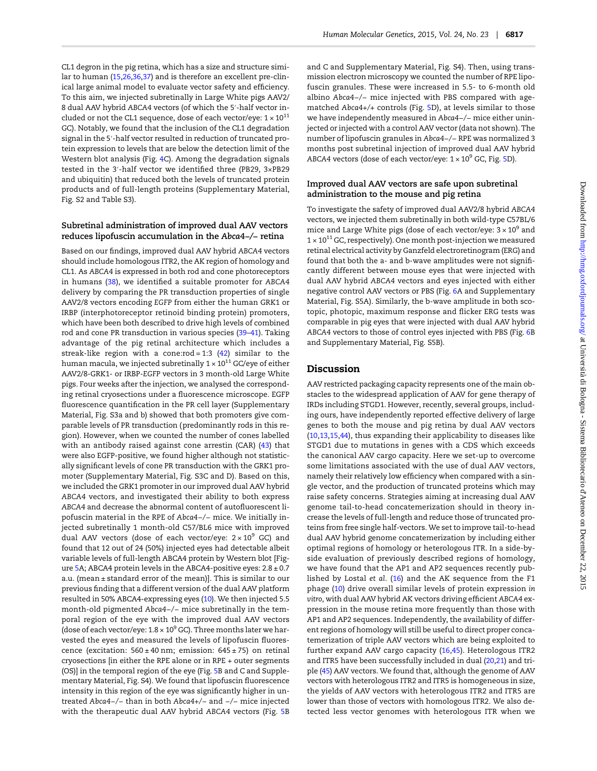CL1 degron in the pig retina, which has a size and structure similar to human ([15,26,36,37\)](#page-13-0) and is therefore an excellent pre-clinical large animal model to evaluate vector safety and efficiency. To this aim, we injected subretinally in Large White pigs AAV2/ 8 dual AAV hybrid ABCA4 vectors (of which the 5′-half vector included or not the CL1 sequence, dose of each vector/eye:  $1 \times 10^{11}$ GC). Notably, we found that the inclusion of the CL1 degradation signal in the 5′-half vector resulted in reduction of truncated protein expression to levels that are below the detection limit of the Western blot analysis (Fig. [4](#page-5-0)C). Among the degradation signals tested in the 3′-half vector we identified three (PB29, 3×PB29 and ubiquitin) that reduced both the levels of truncated protein products and of full-length proteins ([Supplementary Material,](http://hmg.oxfordjournals.org/lookup/suppl/doi:10.1093/hmg/ddv386/-/DC1) [Fig. S2 and Table S3](http://hmg.oxfordjournals.org/lookup/suppl/doi:10.1093/hmg/ddv386/-/DC1)).

## Subretinal administration of improved dual AAV vectors reduces lipofuscin accumulation in the Abca4−/− retina

Based on our findings, improved dual AAV hybrid ABCA4 vectors should include homologous ITR2, the AK region of homology and CL1. As ABCA4 is expressed in both rod and cone photoreceptors in humans ([38](#page-13-0)), we identified a suitable promoter for ABCA4 delivery by comparing the PR transduction properties of single AAV2/8 vectors encoding EGFP from either the human GRK1 or IRBP (interphotoreceptor retinoid binding protein) promoters, which have been both described to drive high levels of combined rod and cone PR transduction in various species ([39](#page-13-0)–[41](#page-13-0)). Taking advantage of the pig retinal architecture which includes a streak-like region with a cone:rod = 1:3  $(42)$  similar to the human macula, we injected subretinally  $1 \times 10^{11}$  GC/eye of either AAV2/8-GRK1- or IRBP-EGFP vectors in 3 month-old Large White pigs. Four weeks after the injection, we analysed the corresponding retinal cryosections under a fluorescence microscope. EGFP fluorescence quantification in the PR cell layer ([Supplementary](http://hmg.oxfordjournals.org/lookup/suppl/doi:10.1093/hmg/ddv386/-/DC1) [Material, Fig. S3a and b\)](http://hmg.oxfordjournals.org/lookup/suppl/doi:10.1093/hmg/ddv386/-/DC1) showed that both promoters give comparable levels of PR transduction (predominantly rods in this region). However, when we counted the number of cones labelled with an antibody raised against cone arrestin (CAR) ([43](#page-13-0)) that were also EGFP-positive, we found higher although not statistically significant levels of cone PR transduction with the GRK1 promoter [\(Supplementary Material, Fig. S3C and D](http://hmg.oxfordjournals.org/lookup/suppl/doi:10.1093/hmg/ddv386/-/DC1)). Based on this, we included the GRK1 promoter in our improved dual AAV hybrid ABCA4 vectors, and investigated their ability to both express ABCA4 and decrease the abnormal content of autofluorescent lipofuscin material in the RPE of Abca4−/− mice. We initially injected subretinally 1 month-old C57/BL6 mice with improved dual AAV vectors (dose of each vector/eye:  $2 \times 10^9$  GC) and found that 12 out of 24 (50%) injected eyes had detectable albeit variable levels of full-length ABCA4 protein by Western blot [Fig-ure [5](#page-7-0)A; ABCA4 protein levels in the ABCA4-positive eyes:  $2.8 \pm 0.7$ a.u. (mean ± standard error of the mean)]. This is similar to our previous finding that a different version of the dual AAV platform resulted in 50% ABCA4-expressing eyes ([10](#page-12-0)). We then injected 5.5 month-old pigmented Abca4−/− mice subretinally in the temporal region of the eye with the improved dual AAV vectors (dose of each vector/eye:  $1.8 \times 10^9$  GC). Three months later we harvested the eyes and measured the levels of lipofuscin fluorescence (excitation:  $560 \pm 40$  nm; emission:  $645 \pm 75$ ) on retinal cryosections [in either the RPE alone or in RPE + outer segments (OS)] in the temporal region of the eye (Fig. [5B](#page-7-0) and C and [Supple](http://hmg.oxfordjournals.org/lookup/suppl/doi:10.1093/hmg/ddv386/-/DC1)[mentary Material, Fig. S4](http://hmg.oxfordjournals.org/lookup/suppl/doi:10.1093/hmg/ddv386/-/DC1)). We found that lipofuscin fluorescence intensity in this region of the eye was significantly higher in untreated Abca4−/− than in both Abca4+/− and −/− mice injected with the therapeutic dual AAV hybrid ABCA4 vectors (Fig. [5](#page-7-0)B and C and [Supplementary Material, Fig. S4\)](http://hmg.oxfordjournals.org/lookup/suppl/doi:10.1093/hmg/ddv386/-/DC1). Then, using transmission electron microscopy we counted the number of RPE lipofuscin granules. These were increased in 5.5- to 6-month old albino Abca4−/− mice injected with PBS compared with agematched Abca4+/+ controls (Fig. [5D](#page-7-0)), at levels similar to those we have independently measured in Abca4-/- mice either uninjected or injected with a control AAV vector (data not shown). The number of lipofuscin granules in Abca4−/− RPE was normalized 3 months post subretinal injection of improved dual AAV hybrid ABCA4 vectors (dose of each vector/eye:  $1 \times 10^9$  GC, Fig. [5](#page-7-0)D).

# Improved dual AAV vectors are safe upon subretinal administration to the mouse and pig retina

To investigate the safety of improved dual AAV2/8 hybrid ABCA4 vectors, we injected them subretinally in both wild-type C57BL/6 mice and Large White pigs (dose of each vector/eye:  $3 \times 10^9$  and  $1 \times 10^{11}$  GC, respectively). One month post-injection we measured retinal electrical activity by Ganzfeld electroretinogram (ERG) and found that both the a- and b-wave amplitudes were not significantly different between mouse eyes that were injected with dual AAV hybrid ABCA4 vectors and eyes injected with either negative control AAV vectors or PBS (Fig. [6](#page-8-0)A and [Supplementary](http://hmg.oxfordjournals.org/lookup/suppl/doi:10.1093/hmg/ddv386/-/DC1) [Material, Fig. S5A\)](http://hmg.oxfordjournals.org/lookup/suppl/doi:10.1093/hmg/ddv386/-/DC1). Similarly, the b-wave amplitude in both scotopic, photopic, maximum response and flicker ERG tests was comparable in pig eyes that were injected with dual AAV hybrid ABCA4 vectors to those of control eyes injected with PBS (Fig. [6](#page-8-0)B and [Supplementary Material, Fig. S5B](http://hmg.oxfordjournals.org/lookup/suppl/doi:10.1093/hmg/ddv386/-/DC1)).

# Discussion

AAV restricted packaging capacity represents one of the main obstacles to the widespread application of AAV for gene therapy of IRDs including STGD1. However, recently, several groups, including ours, have independently reported effective delivery of large genes to both the mouse and pig retina by dual AAV vectors ([10,](#page-12-0)[13](#page-13-0),[15,44](#page-13-0)), thus expanding their applicability to diseases like STGD1 due to mutations in genes with a CDS which exceeds the canonical AAV cargo capacity. Here we set-up to overcome some limitations associated with the use of dual AAV vectors, namely their relatively low efficiency when compared with a single vector, and the production of truncated proteins which may raise safety concerns. Strategies aiming at increasing dual AAV genome tail-to-head concatemerization should in theory increase the levels of full-length and reduce those of truncated proteins from free single half-vectors. We set to improve tail-to-head dual AAV hybrid genome concatemerization by including either optimal regions of homology or heterologous ITR. In a side-byside evaluation of previously described regions of homology, we have found that the AP1 and AP2 sequences recently published by Lostal et al. ([16\)](#page-13-0) and the AK sequence from the F1 phage ([10\)](#page-12-0) drive overall similar levels of protein expression in vitro, with dual AAV hybrid AK vectors driving efficient ABCA4 expression in the mouse retina more frequently than those with AP1 and AP2 sequences. Independently, the availability of different regions of homology will still be useful to direct proper concatemerization of triple AAV vectors which are being exploited to further expand AAV cargo capacity [\(16,45](#page-13-0)). Heterologous ITR2 and ITR5 have been successfully included in dual ([20,21](#page-13-0)) and triple [\(45\)](#page-13-0) AAV vectors. We found that, although the genome of AAV vectors with heterologous ITR2 and ITR5 is homogeneous in size, the yields of AAV vectors with heterologous ITR2 and ITR5 are lower than those of vectors with homologous ITR2. We also detected less vector genomes with heterologous ITR when we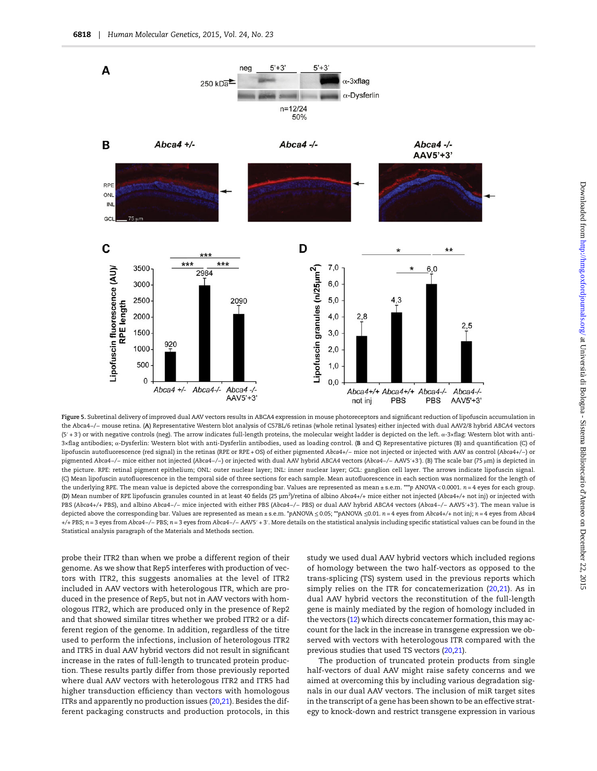<span id="page-7-0"></span>

Figure 5. Subretinal delivery of improved dual AAV vectors results in ABCA4 expression in mouse photoreceptors and significant reduction of lipofuscin accumulation in the Abca4−/− mouse retina. (A) Representative Western blot analysis of C57BL/6 retinas (whole retinal lysates) either injected with dual AAV2/8 hybrid ABCA4 vectors (5′ + 3′) or with negative controls (neg). The arrow indicates full-length proteins, the molecular weight ladder is depicted on the left. α-3×flag: Western blot with anti-3×flag antibodies; α-Dysferlin: Western blot with anti-Dysferlin antibodies, used as loading control. (B and C) Representative pictures (B) and quantification (C) of lipofuscin autofluorescence (red signal) in the retinas (RPE or RPE + OS) of either pigmented Abca4+/− mice not injected or injected with AAV as control (Abca4+/−) or pigmented Abca4−/− mice either not injected (Abca4−/−) or injected with dual AAV hybrid ABCA4 vectors (Abca4−/− AAV5′+3′). (B) The scale bar (75 μm) is depicted in the picture. RPE: retinal pigment epithelium; ONL: outer nuclear layer; INL: inner nuclear layer; GCL: ganglion cell layer. The arrows indicate lipofuscin signal. (C) Mean lipofuscin autofluorescence in the temporal side of three sections for each sample. Mean autofluorescence in each section was normalized for the length of the underlying RPE. The mean value is depicted above the corresponding bar. Values are represented as mean ± s.e.m. \*\*\*p ANOVA < 0.0001.  $n = 4$  eyes for each group. (D) Mean number of RPE lipofuscin granules counted in at least 40 fields (25  $\mu$ m<sup>2</sup>)/retina of albino Abca4+/+ mice either not injected (Abca4+/+ not inj) or injected with PBS (Abca4+/+ PBS), and albino Abca4−/− mice injected with either PBS (Abca4−/− PBS) or dual AAV hybrid ABCA4 vectors (Abca4−/− AAV5′+3′). The mean value is depicted above the corresponding bar. Values are represented as mean ± s.e.m. \*pANOVA ≤ 0.05; \*\*pANOVA ≤ 0.01. n = 4 eyes from Abca4+/+ not inj; n = 4 eyes from Abca4 +/+ PBS; n = 3 eyes from Abca4−/− PBS; n = 3 eyes from Abca4−/− AAV5′ + 3′. More details on the statistical analysis including specific statistical values can be found in the Statistical analysis paragraph of the Materials and Methods section.

probe their ITR2 than when we probe a different region of their genome. As we show that Rep5 interferes with production of vectors with ITR2, this suggests anomalies at the level of ITR2 included in AAV vectors with heterologous ITR, which are produced in the presence of Rep5, but not in AAV vectors with homologous ITR2, which are produced only in the presence of Rep2 and that showed similar titres whether we probed ITR2 or a different region of the genome. In addition, regardless of the titre used to perform the infections, inclusion of heterologous ITR2 and ITR5 in dual AAV hybrid vectors did not result in significant increase in the rates of full-length to truncated protein production. These results partly differ from those previously reported where dual AAV vectors with heterologous ITR2 and ITR5 had higher transduction efficiency than vectors with homologous ITRs and apparently no production issues [\(20,21\)](#page-13-0). Besides the different packaging constructs and production protocols, in this study we used dual AAV hybrid vectors which included regions of homology between the two half-vectors as opposed to the trans-splicing (TS) system used in the previous reports which simply relies on the ITR for concatemerization ([20](#page-13-0),[21](#page-13-0)). As in dual AAV hybrid vectors the reconstitution of the full-length gene is mainly mediated by the region of homology included in the vectors ([12\)](#page-13-0) which directs concatemer formation, this may account for the lack in the increase in transgene expression we observed with vectors with heterologous ITR compared with the previous studies that used TS vectors ([20,21](#page-13-0)).

The production of truncated protein products from single half-vectors of dual AAV might raise safety concerns and we aimed at overcoming this by including various degradation signals in our dual AAV vectors. The inclusion of miR target sites in the transcript of a gene has been shown to be an effective strategy to knock-down and restrict transgene expression in various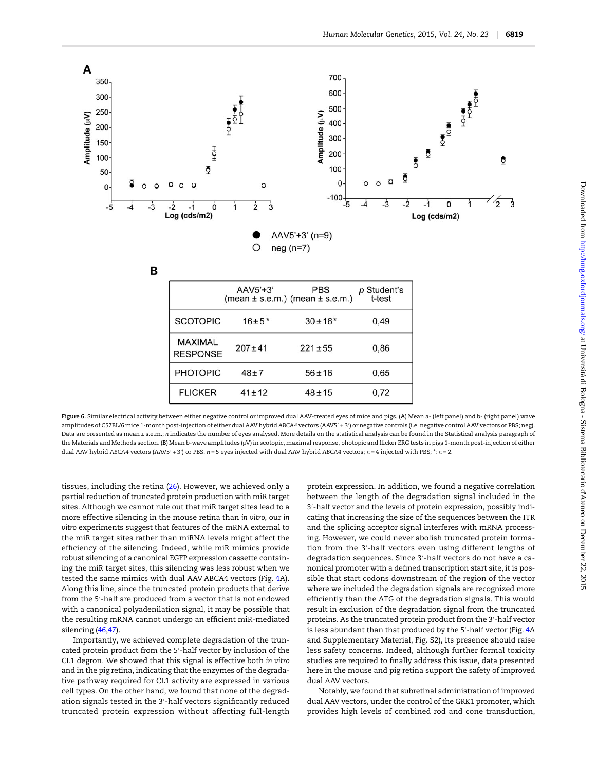<span id="page-8-0"></span>

Figure 6. Similar electrical activity between either negative control or improved dual AAV-treated eyes of mice and pigs. (A) Mean a- (left panel) and b- (right panel) wave amplitudes of C57BL/6 mice 1-month post-injection of either dual AAV hybrid ABCA4 vectors (AAV5′ + 3′) or negative controls (i.e. negative control AAV vectors or PBS; neg). Data are presented as mean ± s.e.m.; n indicates the number of eyes analysed. More details on the statistical analysis can be found in the Statistical analysis paragraph of the Materials and Methods section. (B) Mean b-wave amplitudes (μV) in scotopic, maximal response, photopic and flicker ERG tests in pigs 1-month post-injection of either dual AAV hybrid ABCA4 vectors (AAV5′ + 3′) or PBS. n = 5 eyes injected with dual AAV hybrid ABCA4 vectors; n = 4 injected with PBS; \*: n = 2.

tissues, including the retina [\(26\)](#page-13-0). However, we achieved only a partial reduction of truncated protein production with miR target sites. Although we cannot rule out that miR target sites lead to a more effective silencing in the mouse retina than in vitro, our in vitro experiments suggest that features of the mRNA external to the miR target sites rather than miRNA levels might affect the efficiency of the silencing. Indeed, while miR mimics provide robust silencing of a canonical EGFP expression cassette containing the miR target sites, this silencing was less robust when we tested the same mimics with dual AAV ABCA4 vectors (Fig. [4](#page-5-0)A). Along this line, since the truncated protein products that derive from the 5′-half are produced from a vector that is not endowed with a canonical polyadenilation signal, it may be possible that the resulting mRNA cannot undergo an efficient miR-mediated silencing ([46,47](#page-14-0)).

Importantly, we achieved complete degradation of the truncated protein product from the 5′-half vector by inclusion of the CL1 degron. We showed that this signal is effective both in vitro and in the pig retina, indicating that the enzymes of the degradative pathway required for CL1 activity are expressed in various cell types. On the other hand, we found that none of the degradation signals tested in the 3′-half vectors significantly reduced truncated protein expression without affecting full-length protein expression. In addition, we found a negative correlation between the length of the degradation signal included in the 3′-half vector and the levels of protein expression, possibly indicating that increasing the size of the sequences between the ITR and the splicing acceptor signal interferes with mRNA processing. However, we could never abolish truncated protein formation from the 3′-half vectors even using different lengths of degradation sequences. Since 3′-half vectors do not have a canonical promoter with a defined transcription start site, it is possible that start codons downstream of the region of the vector where we included the degradation signals are recognized more efficiently than the ATG of the degradation signals. This would result in exclusion of the degradation signal from the truncated proteins. As the truncated protein product from the 3′-half vector is less abundant than that produced by the 5′-half vector (Fig. [4A](#page-5-0) and [Supplementary Material, Fig. S2\)](http://hmg.oxfordjournals.org/lookup/suppl/doi:10.1093/hmg/ddv386/-/DC1), its presence should raise less safety concerns. Indeed, although further formal toxicity studies are required to finally address this issue, data presented here in the mouse and pig retina support the safety of improved dual AAV vectors.

Notably, we found that subretinal administration of improved dual AAV vectors, under the control of the GRK1 promoter, which provides high levels of combined rod and cone transduction,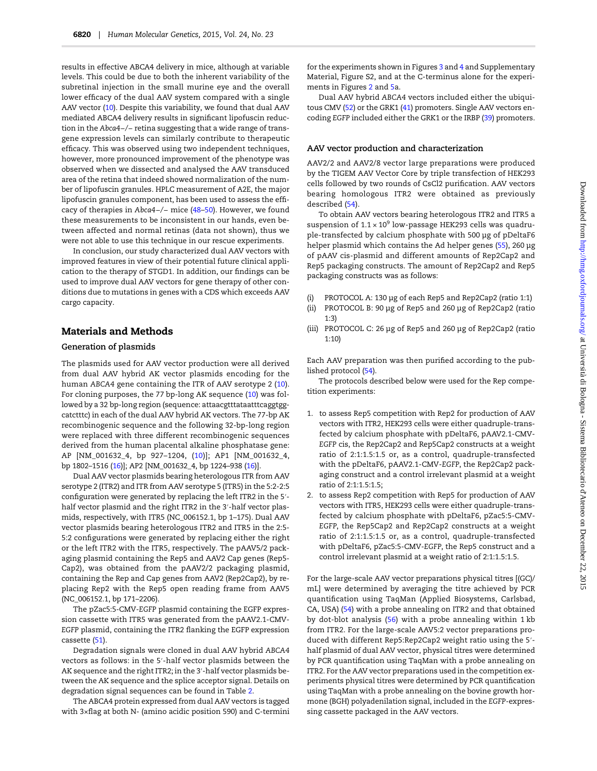results in effective ABCA4 delivery in mice, although at variable levels. This could be due to both the inherent variability of the subretinal injection in the small murine eye and the overall lower efficacy of the dual AAV system compared with a single AAV vector [\(10](#page-12-0)). Despite this variability, we found that dual AAV mediated ABCA4 delivery results in significant lipofuscin reduction in the Abca4−/− retina suggesting that a wide range of transgene expression levels can similarly contribute to therapeutic efficacy. This was observed using two independent techniques, however, more pronounced improvement of the phenotype was observed when we dissected and analysed the AAV transduced area of the retina that indeed showed normalization of the number of lipofuscin granules. HPLC measurement of A2E, the major lipofuscin granules component, has been used to assess the efficacy of therapies in Abca4−/− mice ([48](#page-14-0)–[50\)](#page-14-0). However, we found these measurements to be inconsistent in our hands, even between affected and normal retinas (data not shown), thus we were not able to use this technique in our rescue experiments.

In conclusion, our study characterized dual AAV vectors with improved features in view of their potential future clinical application to the therapy of STGD1. In addition, our findings can be used to improve dual AAV vectors for gene therapy of other conditions due to mutations in genes with a CDS which exceeds AAV cargo capacity.

# Materials and Methods

#### Generation of plasmids

The plasmids used for AAV vector production were all derived from dual AAV hybrid AK vector plasmids encoding for the human ABCA4 gene containing the ITR of AAV serotype 2 ([10\)](#page-12-0). For cloning purposes, the 77 bp-long AK sequence [\(10\)](#page-12-0) was followed by a 32 bp-long region (sequence: attaacgtttataatttcaggtggcatctttc) in each of the dual AAV hybrid AK vectors. The 77-bp AK recombinogenic sequence and the following 32-bp-long region were replaced with three different recombinogenic sequences derived from the human placental alkaline phosphatase gene: AP [NM\_001632\_4, bp 927–1204, [\(10](#page-12-0))]; AP1 [NM\_001632\_4, bp 1802–1516 ([16\)](#page-13-0)]; AP2 [NM\_001632\_4, bp 1224–938 [\(16](#page-13-0))].

Dual AAV vector plasmids bearing heterologous ITR from AAV serotype 2 (ITR2) and ITR from AAV serotype 5 (ITR5) in the 5:2-2:5 configuration were generated by replacing the left ITR2 in the 5′ half vector plasmid and the right ITR2 in the 3'-half vector plasmids, respectively, with ITR5 (NC\_006152.1, bp 1–175). Dual AAV vector plasmids bearing heterologous ITR2 and ITR5 in the 2:5- 5:2 configurations were generated by replacing either the right or the left ITR2 with the ITR5, respectively. The pAAV5/2 packaging plasmid containing the Rep5 and AAV2 Cap genes (Rep5- Cap2), was obtained from the pAAV2/2 packaging plasmid, containing the Rep and Cap genes from AAV2 (Rep2Cap2), by replacing Rep2 with the Rep5 open reading frame from AAV5 (NC\_006152.1, bp 171–2206).

The pZac5:5-CMV-EGFP plasmid containing the EGFP expression cassette with ITR5 was generated from the pAAV2.1-CMV-EGFP plasmid, containing the ITR2 flanking the EGFP expression cassette [\(51\)](#page-14-0).

Degradation signals were cloned in dual AAV hybrid ABCA4 vectors as follows: in the 5′-half vector plasmids between the AK sequence and the right ITR2; in the 3′-half vector plasmids between the AK sequence and the splice acceptor signal. Details on degradation signal sequences can be found in Table [2.](#page-3-0)

The ABCA4 protein expressed from dual AAV vectors is tagged with 3×flag at both N- (amino acidic position 590) and C-termini for the experiments shown in Figures [3](#page-4-0) and [4](#page-5-0) and [Supplementary](http://hmg.oxfordjournals.org/lookup/suppl/doi:10.1093/hmg/ddv386/-/DC1) [Material, Figure S2,](http://hmg.oxfordjournals.org/lookup/suppl/doi:10.1093/hmg/ddv386/-/DC1) and at the C-terminus alone for the experiments in Figures [2](#page-2-0) and [5a](#page-7-0).

Dual AAV hybrid ABCA4 vectors included either the ubiquitous CMV [\(52](#page-14-0)) or the GRK1 [\(41\)](#page-13-0) promoters. Single AAV vectors encoding EGFP included either the GRK1 or the IRBP ([39](#page-13-0)) promoters.

## AAV vector production and characterization

AAV2/2 and AAV2/8 vector large preparations were produced by the TIGEM AAV Vector Core by triple transfection of HEK293 cells followed by two rounds of CsCl2 purification. AAV vectors bearing homologous ITR2 were obtained as previously described ([54\)](#page-14-0).

To obtain AAV vectors bearing heterologous ITR2 and ITR5 a suspension of  $1.1 \times 10^9$  low-passage HEK293 cells was quadruple-transfected by calcium phosphate with 500 µg of pDeltaF6 helper plasmid which contains the Ad helper genes ([55](#page-14-0)), 260 µg of pAAV cis-plasmid and different amounts of Rep2Cap2 and Rep5 packaging constructs. The amount of Rep2Cap2 and Rep5 packaging constructs was as follows:

- (i) PROTOCOL A: 130 µg of each Rep5 and Rep2Cap2 (ratio 1:1)
- (ii) PROTOCOL B: 90 µg of Rep5 and 260 µg of Rep2Cap2 (ratio 1:3)
- (iii) PROTOCOL C: 26 µg of Rep5 and 260 µg of Rep2Cap2 (ratio 1:10)

Each AAV preparation was then purified according to the published protocol [\(54](#page-14-0)).

The protocols described below were used for the Rep competition experiments:

- 1. to assess Rep5 competition with Rep2 for production of AAV vectors with ITR2, HEK293 cells were either quadruple-transfected by calcium phosphate with pDeltaF6, pAAV2.1-CMV-EGFP cis, the Rep2Cap2 and Rep5Cap2 constructs at a weight ratio of 2:1:1.5:1.5 or, as a control, quadruple-transfected with the pDeltaF6, pAAV2.1-CMV-EGFP, the Rep2Cap2 packaging construct and a control irrelevant plasmid at a weight ratio of 2:1:1.5:1.5;
- 2. to assess Rep2 competition with Rep5 for production of AAV vectors with ITR5, HEK293 cells were either quadruple-transfected by calcium phosphate with pDeltaF6, pZac5:5-CMV-EGFP, the Rep5Cap2 and Rep2Cap2 constructs at a weight ratio of 2:1:1.5:1.5 or, as a control, quadruple-transfected with pDeltaF6, pZac5:5-CMV-EGFP, the Rep5 construct and a control irrelevant plasmid at a weight ratio of 2:1:1.5:1.5.

For the large-scale AAV vector preparations physical titres [(GC)/ mL] were determined by averaging the titre achieved by PCR quantification using TaqMan (Applied Biosystems, Carlsbad, CA, USA) [\(54\)](#page-14-0) with a probe annealing on ITR2 and that obtained by dot-blot analysis ([56](#page-14-0)) with a probe annealing within 1 kb from ITR2. For the large-scale AAV5:2 vector preparations produced with different Rep5:Rep2Cap2 weight ratio using the 5′ half plasmid of dual AAV vector, physical titres were determined by PCR quantification using TaqMan with a probe annealing on ITR2. For the AAV vector preparations used in the competition experiments physical titres were determined by PCR quantification using TaqMan with a probe annealing on the bovine growth hormone (BGH) polyadenilation signal, included in the EGFP-expressing cassette packaged in the AAV vectors.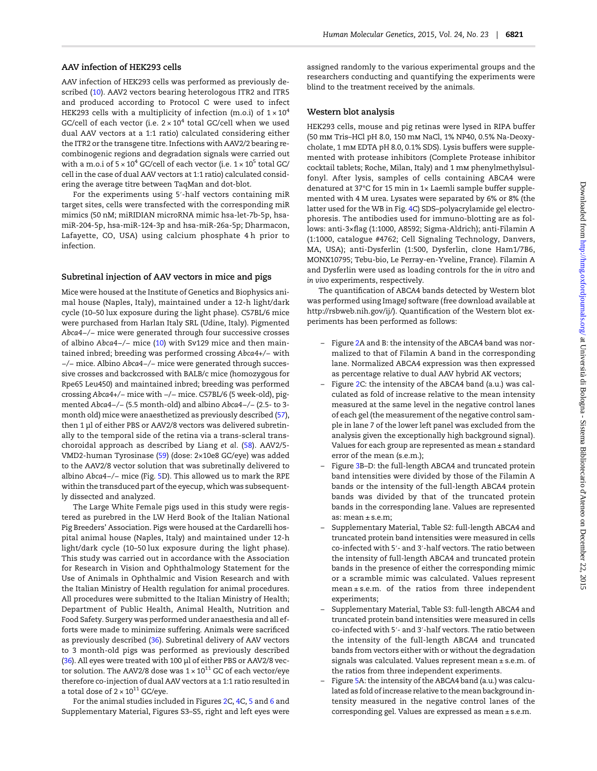#### AAV infection of HEK293 cells

AAV infection of HEK293 cells was performed as previously described ([10\)](#page-12-0). AAV2 vectors bearing heterologous ITR2 and ITR5 and produced according to Protocol C were used to infect HEK293 cells with a multiplicity of infection (m.o.i) of  $1 \times 10^4$ GC/cell of each vector (i.e.  $2 \times 10^4$  total GC/cell when we used dual AAV vectors at a 1:1 ratio) calculated considering either the ITR2 or the transgene titre. Infections with AAV2/2 bearing recombinogenic regions and degradation signals were carried out with a m.o.i of  $5 \times 10^4$  GC/cell of each vector (i.e.  $1 \times 10^5$  total GC/ cell in the case of dual AAV vectors at 1:1 ratio) calculated considering the average titre between TaqMan and dot-blot.

For the experiments using 5′-half vectors containing miR target sites, cells were transfected with the corresponding miR mimics (50 nM; miRIDIAN microRNA mimic hsa-let-7b-5p, hsamiR-204-5p, hsa-miR-124-3p and hsa-miR-26a-5p; Dharmacon, Lafayette, CO, USA) using calcium phosphate 4 h prior to infection.

## Subretinal injection of AAV vectors in mice and pigs

Mice were housed at the Institute of Genetics and Biophysics animal house (Naples, Italy), maintained under a 12-h light/dark cycle (10–50 lux exposure during the light phase). C57BL/6 mice were purchased from Harlan Italy SRL (Udine, Italy). Pigmented Abca4−/− mice were generated through four successive crosses of albino Abca4−/− mice ([10](#page-12-0)) with Sv129 mice and then maintained inbred; breeding was performed crossing Abca4+/− with −/− mice. Albino Abca4−/− mice were generated through successive crosses and backcrossed with BALB/c mice (homozygous for Rpe65 Leu450) and maintained inbred; breeding was performed crossing Abca4+/− mice with −/− mice. C57BL/6 (5 week-old), pigmented Abca4−/− (5.5 month-old) and albino Abca4−/− (2.5- to 3 month old) mice were anaesthetized as previously described [\(57\)](#page-14-0), then 1 µl of either PBS or AAV2/8 vectors was delivered subretinally to the temporal side of the retina via a trans-scleral transchoroidal approach as described by Liang et al. [\(58\)](#page-14-0). AAV2/5- VMD2-human Tyrosinase ([59\)](#page-14-0) (dose: 2×10e8 GC/eye) was added to the AAV2/8 vector solution that was subretinally delivered to albino Abca4−/− mice (Fig. [5](#page-7-0)D). This allowed us to mark the RPE within the transduced part of the eyecup, which was subsequently dissected and analyzed.

The Large White Female pigs used in this study were registered as purebred in the LW Herd Book of the Italian National Pig Breeders' Association. Pigs were housed at the Cardarelli hospital animal house (Naples, Italy) and maintained under 12-h light/dark cycle (10–50 lux exposure during the light phase). This study was carried out in accordance with the Association for Research in Vision and Ophthalmology Statement for the Use of Animals in Ophthalmic and Vision Research and with the Italian Ministry of Health regulation for animal procedures. All procedures were submitted to the Italian Ministry of Health; Department of Public Health, Animal Health, Nutrition and Food Safety. Surgery was performed under anaesthesia and all efforts were made to minimize suffering. Animals were sacrificed as previously described ([36](#page-13-0)). Subretinal delivery of AAV vectors to 3 month-old pigs was performed as previously described [\(36\)](#page-13-0). All eyes were treated with 100 µl of either PBS or AAV2/8 vector solution. The AAV2/8 dose was  $1 \times 10^{11}$  GC of each vector/eye therefore co-injection of dual AAV vectors at a 1:1 ratio resulted in a total dose of  $2 \times 10^{11}$  GC/eye.

For the animal studies included in Figures [2](#page-2-0)C, [4](#page-5-0)C, [5](#page-7-0) and [6](#page-8-0) and [Supplementary Material, Figures S3](http://hmg.oxfordjournals.org/lookup/suppl/doi:10.1093/hmg/ddv386/-/DC1)–S5, right and left eyes were assigned randomly to the various experimental groups and the researchers conducting and quantifying the experiments were blind to the treatment received by the animals.

#### Western blot analysis

HEK293 cells, mouse and pig retinas were lysed in RIPA buffer (50 mm Tris-HCl pH 8.0, 150 mm NaCl, 1% NP40, 0.5% Na-Deoxycholate, 1 mm EDTA pH 8.0, 0.1% SDS). Lysis buffers were supplemented with protease inhibitors (Complete Protease inhibitor cocktail tablets; Roche, Milan, Italy) and 1 mm phenylmethylsulfonyl. After lysis, samples of cells containing ABCA4 were denatured at 37°C for 15 min in 1× Laemli sample buffer supplemented with 4 M urea. Lysates were separated by 6% or 8% (the latter used for the WB in Fig. [4](#page-5-0)C) SDS–polyacrylamide gel electrophoresis. The antibodies used for immuno-blotting are as follows: anti-3×flag (1:1000, A8592; Sigma-Aldrich); anti-Filamin A (1:1000, catalogue #4762; Cell Signaling Technology, Danvers, MA, USA); anti-Dysferlin (1:500, Dysferlin, clone Ham1/7B6, MONX10795; Tebu-bio, Le Perray-en-Yveline, France). Filamin A and Dysferlin were used as loading controls for the in vitro and in vivo experiments, respectively.

The quantification of ABCA4 bands detected by Western blot was performed using ImageJ software (free download available at <http://rsbweb.nih.gov/ij/>). Quantification of the Western blot experiments has been performed as follows:

- Figure [2A](#page-2-0) and B: the intensity of the ABCA4 band was normalized to that of Filamin A band in the corresponding lane. Normalized ABCA4 expression was then expressed as percentage relative to dual AAV hybrid AK vectors;
- Figure [2](#page-2-0)C: the intensity of the ABCA4 band (a.u.) was calculated as fold of increase relative to the mean intensity measured at the same level in the negative control lanes of each gel (the measurement of the negative control sample in lane 7 of the lower left panel was excluded from the analysis given the exceptionally high background signal). Values for each group are represented as mean ± standard error of the mean (s.e.m.);
- Figure [3](#page-4-0)B–D: the full-length ABCA4 and truncated protein band intensities were divided by those of the Filamin A bands or the intensity of the full-length ABCA4 protein bands was divided by that of the truncated protein bands in the corresponding lane. Values are represented as: mean ± s.e.m;
- [Supplementary Material, Table S2](http://hmg.oxfordjournals.org/lookup/suppl/doi:10.1093/hmg/ddv386/-/DC1): full-length ABCA4 and truncated protein band intensities were measured in cells co-infected with 5′- and 3′-half vectors. The ratio between the intensity of full-length ABCA4 and truncated protein bands in the presence of either the corresponding mimic or a scramble mimic was calculated. Values represent mean ± s.e.m. of the ratios from three independent experiments;
- [Supplementary Material, Table S3](http://hmg.oxfordjournals.org/lookup/suppl/doi:10.1093/hmg/ddv386/-/DC1): full-length ABCA4 and truncated protein band intensities were measured in cells co-infected with 5′- and 3′-half vectors. The ratio between the intensity of the full-length ABCA4 and truncated bands from vectors either with or without the degradation signals was calculated. Values represent mean ± s.e.m. of the ratios from three independent experiments.
- Figure [5](#page-7-0)A: the intensity of the ABCA4 band (a.u.) was calculated as fold of increase relative to the mean background intensity measured in the negative control lanes of the corresponding gel. Values are expressed as mean ± s.e.m.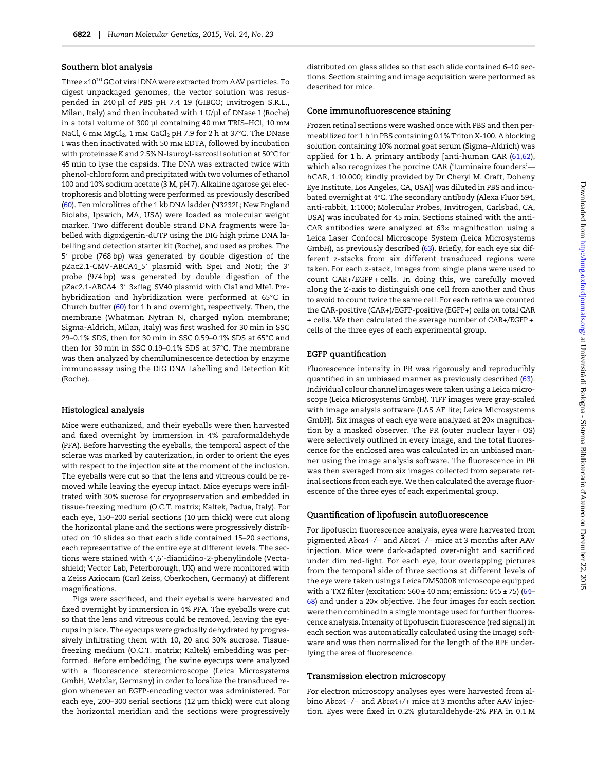#### Southern blot analysis

Three  $\times 10^{10}$  GC of viral DNA were extracted from AAV particles. To digest unpackaged genomes, the vector solution was resuspended in 240 µl of PBS pH 7.4 19 (GIBCO; Invitrogen S.R.L., Milan, Italy) and then incubated with 1 U/µl of DNase I (Roche) in a total volume of 300 µl containing 40 mm TRIS-HCl, 10 mm NaCl, 6 mm MgCl<sub>2</sub>, 1 mm CaCl<sub>2</sub> pH 7.9 for 2 h at 37°C. The DNase I was then inactivated with 50 mm EDTA, followed by incubation with proteinase K and 2.5% N-lauroyl-sarcosil solution at 50°C for 45 min to lyse the capsids. The DNA was extracted twice with phenol-chloroform and precipitated with two volumes of ethanol 100 and 10% sodium acetate (3 M, pH 7). Alkaline agarose gel electrophoresis and blotting were performed as previously described [\(60\)](#page-14-0). Ten microlitres of the 1 kb DNA ladder (N3232L; New England Biolabs, Ipswich, MA, USA) were loaded as molecular weight marker. Two different double strand DNA fragments were labelled with digoxigenin-dUTP using the DIG high prime DNA labelling and detection starter kit (Roche), and used as probes. The 5′ probe (768 bp) was generated by double digestion of the pZac2.1-CMV-ABCA4\_5′ plasmid with SpeI and NotI; the 3′ probe (974 bp) was generated by double digestion of the pZac2.1-ABCA4\_3′\_3×flag\_SV40 plasmid with ClaI and MfeI. Prehybridization and hybridization were performed at 65°C in Church buffer ([60](#page-14-0)) for 1 h and overnight, respectively. Then, the membrane (Whatman Nytran N, charged nylon membrane; Sigma-Aldrich, Milan, Italy) was first washed for 30 min in SSC 29–0.1% SDS, then for 30 min in SSC 0.59–0.1% SDS at 65°C and then for 30 min in SSC 0.19–0.1% SDS at 37°C. The membrane was then analyzed by chemiluminescence detection by enzyme immunoassay using the DIG DNA Labelling and Detection Kit (Roche).

#### Histological analysis

Mice were euthanized, and their eyeballs were then harvested and fixed overnight by immersion in 4% paraformaldehyde (PFA). Before harvesting the eyeballs, the temporal aspect of the sclerae was marked by cauterization, in order to orient the eyes with respect to the injection site at the moment of the inclusion. The eyeballs were cut so that the lens and vitreous could be removed while leaving the eyecup intact. Mice eyecups were infiltrated with 30% sucrose for cryopreservation and embedded in tissue-freezing medium (O.C.T. matrix; Kaltek, Padua, Italy). For each eye, 150–200 serial sections (10 µm thick) were cut along the horizontal plane and the sections were progressively distributed on 10 slides so that each slide contained 15–20 sections, each representative of the entire eye at different levels. The sections were stained with 4′,6′-diamidino-2-phenylindole (Vectashield; Vector Lab, Peterborough, UK) and were monitored with a Zeiss Axiocam (Carl Zeiss, Oberkochen, Germany) at different magnifications.

Pigs were sacrificed, and their eyeballs were harvested and fixed overnight by immersion in 4% PFA. The eyeballs were cut so that the lens and vitreous could be removed, leaving the eyecups in place. The eyecups were gradually dehydrated by progressively infiltrating them with 10, 20 and 30% sucrose. Tissuefreezing medium (O.C.T. matrix; Kaltek) embedding was performed. Before embedding, the swine eyecups were analyzed with a fluorescence stereomicroscope (Leica Microsystems GmbH, Wetzlar, Germany) in order to localize the transduced region whenever an EGFP-encoding vector was administered. For each eye, 200–300 serial sections (12 µm thick) were cut along the horizontal meridian and the sections were progressively distributed on glass slides so that each slide contained 6–10 sections. Section staining and image acquisition were performed as described for mice.

## Cone immunofluorescence staining

Frozen retinal sections were washed once with PBS and then permeabilized for 1 h in PBS containing 0.1% Triton X-100. A blocking solution containing 10% normal goat serum (Sigma–Aldrich) was applied for 1 h. A primary antibody [anti-human CAR [\(61,62\)](#page-14-0), which also recognizes the porcine CAR ('Luminaire founders' hCAR, 1:10.000; kindly provided by Dr Cheryl M. Craft, Doheny Eye Institute, Los Angeles, CA, USA)] was diluted in PBS and incubated overnight at 4°C. The secondary antibody (Alexa Fluor 594, anti-rabbit, 1:1000; Molecular Probes, Invitrogen, Carlsbad, CA, USA) was incubated for 45 min. Sections stained with the anti-CAR antibodies were analyzed at 63× magnification using a Leica Laser Confocal Microscope System (Leica Microsystems GmbH), as previously described [\(63](#page-14-0)). Briefly, for each eye six different z-stacks from six different transduced regions were taken. For each z-stack, images from single plans were used to count CAR+/EGFP + cells. In doing this, we carefully moved along the Z-axis to distinguish one cell from another and thus to avoid to count twice the same cell. For each retina we counted the CAR-positive (CAR+)/EGFP-positive (EGFP+) cells on total CAR + cells. We then calculated the average number of CAR+/EGFP + cells of the three eyes of each experimental group.

#### EGFP quantification

Fluorescence intensity in PR was rigorously and reproducibly quantified in an unbiased manner as previously described [\(63\)](#page-14-0). Individual colour channel images were taken using a Leica microscope (Leica Microsystems GmbH). TIFF images were gray-scaled with image analysis software (LAS AF lite; Leica Microsystems GmbH). Six images of each eye were analyzed at 20× magnification by a masked observer. The PR (outer nuclear layer + OS) were selectively outlined in every image, and the total fluorescence for the enclosed area was calculated in an unbiased manner using the image analysis software. The fluorescence in PR was then averaged from six images collected from separate retinal sections from each eye. We then calculated the average fluorescence of the three eyes of each experimental group.

#### Quantification of lipofuscin autofluorescence

For lipofuscin fluorescence analysis, eyes were harvested from pigmented Abca4+/− and Abca4−/− mice at 3 months after AAV injection. Mice were dark-adapted over-night and sacrificed under dim red-light. For each eye, four overlapping pictures from the temporal side of three sections at different levels of the eye were taken using a Leica DM5000B microscope equipped with a TX2 filter (excitation:  $560 \pm 40$  nm; emission:  $645 \pm 75$ ) ( $64-$ [68\)](#page-14-0) and under a 20× objective. The four images for each section were then combined in a single montage used for further fluorescence analysis. Intensity of lipofuscin fluorescence (red signal) in each section was automatically calculated using the ImageJ software and was then normalized for the length of the RPE underlying the area of fluorescence.

## Transmission electron microscopy

For electron microscopy analyses eyes were harvested from albino Abca4−/− and Abca4+/+ mice at 3 months after AAV injection. Eyes were fixed in 0.2% glutaraldehyde-2% PFA in 0.1 M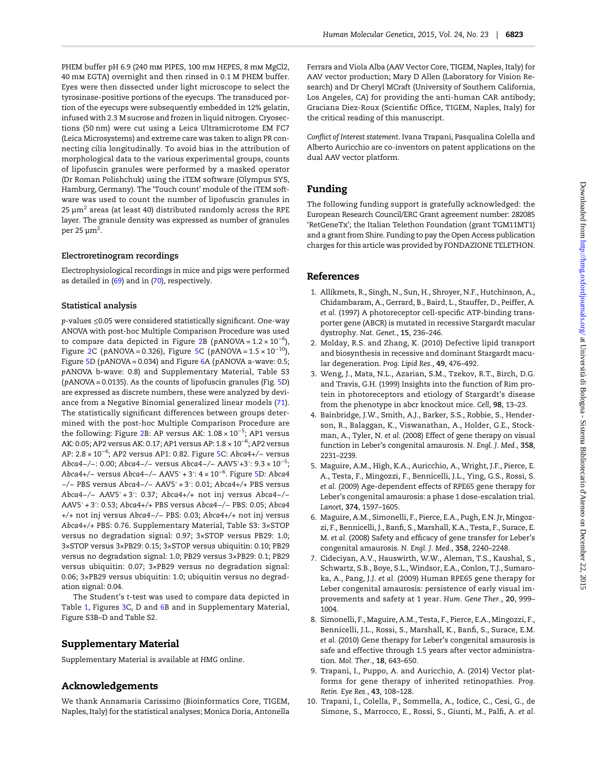<span id="page-12-0"></span>PHEM buffer pH 6.9 (240 mm PIPES, 100 mm HEPES, 8 mm MgCl2, 40 mm EGTA) overnight and then rinsed in 0.1 M PHEM buffer. Eyes were then dissected under light microscope to select the tyrosinase-positive portions of the eyecups. The transduced portion of the eyecups were subsequently embedded in 12% gelatin, infused with 2.3 M sucrose and frozen in liquid nitrogen. Cryosections (50 nm) were cut using a Leica Ultramicrotome EM FC7 (Leica Microsystems) and extreme care was taken to align PR connecting cilia longitudinally. To avoid bias in the attribution of morphological data to the various experimental groups, counts of lipofuscin granules were performed by a masked operator (Dr Roman Polishchuk) using the iTEM software (Olympus SYS, Hamburg, Germany). The 'Touch count' module of the iTEM software was used to count the number of lipofuscin granules in 25  $\mu$ m<sup>2</sup> areas (at least 40) distributed randomly across the RPE layer. The granule density was expressed as number of granules per 25  $\mu$ m<sup>2</sup>.

## Electroretinogram recordings

Electrophysiological recordings in mice and pigs were performed as detailed in ([69](#page-14-0)) and in [\(70\)](#page-14-0), respectively.

## Statistical analysis

p-values ≤0.05 were considered statistically significant. One-way ANOVA with post-hoc Multiple Comparison Procedure was used to compare data depicted in Figure [2](#page-2-0)B (pANOVA= $1.2 \times 10^{-6}$ ), Figure [2](#page-2-0)C (pANOVA = 0.326), Figure [5](#page-7-0)C (pANOVA =  $1.5 \times 10^{-10}$ ), Figure [5](#page-7-0)D (pANOVA = 0.034) and Figure [6](#page-8-0)A (pANOVA a-wave: 0.5; pANOVA b-wave: 0.8) and [Supplementary Material, Table S3](http://hmg.oxfordjournals.org/lookup/suppl/doi:10.1093/hmg/ddv386/-/DC1) (pANOVA = 0.0135). As the counts of lipofuscin granules (Fig. [5](#page-7-0)D) are expressed as discrete numbers, these were analyzed by deviance from a Negative Binomial generalized linear models ([71\)](#page-14-0). The statistically significant differences between groups determined with the post-hoc Multiple Comparison Procedure are the following: Figure [2](#page-2-0)B: AP versus AK: 1.08 × 10<sup>−5</sup>; AP1 versus AK: 0.05; AP2 versus AK: 0.17; AP1 versus AP: 1.8 × 10<sup>−6</sup>; AP2 versus AP: 2.8 × 10<sup>−6</sup>; AP2 versus AP1: 0.82. Figure [5C](#page-7-0): Abca4+/− versus Abca4−/−: 0.00; Abca4−/− versus Abca4−/− AAV5′+3′: 9.3 × 10−<sup>5</sup> ; Abca4+/– versus Abca4–/– AAV[5](#page-7-0)′ + 3′: 4 × 10<sup>-6</sup>. Figure 5D: Abca4 −/− PBS versus Abca4−/− AAV5′ + 3′: 0.01; Abca4+/+ PBS versus Abca4−/− AAV5′ + 3′: 0.37; Abca4+/+ not inj versus Abca4−/− AAV5′ + 3′: 0.53; Abca4+/+ PBS versus Abca4−/− PBS: 0.05; Abca4 +/+ not inj versus Abca4−/− PBS: 0.03; Abca4+/+ not inj versus Abca4+/+ PBS: 0.76. [Supplementary Material, Table S3](http://hmg.oxfordjournals.org/lookup/suppl/doi:10.1093/hmg/ddv386/-/DC1): 3×STOP versus no degradation signal: 0.97; 3×STOP versus PB29: 1.0; 3×STOP versus 3×PB29: 0.15; 3×STOP versus ubiquitin: 0.10; PB29 versus no degradation signal: 1.0; PB29 versus 3×PB29: 0.1; PB29 versus ubiquitin: 0.07; 3×PB29 versus no degradation signal: 0.06; 3×PB29 versus ubiquitin: 1.0; ubiquitin versus no degradation signal: 0.04.

The Student's t-test was used to compare data depicted in Table [1,](#page-3-0) Figures [3](#page-4-0)C, D and [6B](#page-8-0) and in [Supplementary Material,](http://hmg.oxfordjournals.org/lookup/suppl/doi:10.1093/hmg/ddv386/-/DC1) Figure S3B–[D and Table S2](http://hmg.oxfordjournals.org/lookup/suppl/doi:10.1093/hmg/ddv386/-/DC1).

# Supplementary Material

[Supplementary Material is available at](http://hmg.oxfordjournals.org/lookup/suppl/doi:10.1093/hmg/ddv386/-/DC1) HMG online.

# Acknowledgements

We thank Annamaria Carissimo (Bioinformatics Core, TIGEM, Naples, Italy) for the statistical analyses; Monica Doria, Antonella

Ferrara and Viola Alba (AAV Vector Core, TIGEM, Naples, Italy) for AAV vector production; Mary D Allen (Laboratory for Vision Research) and Dr Cheryl MCraft (University of Southern California, Los Angeles, CA) for providing the anti-human CAR antibody; Graciana Diez-Roux (Scientific Office, TIGEM, Naples, Italy) for the critical reading of this manuscript.

Conflict of Interest statement. Ivana Trapani, Pasqualina Colella and Alberto Auricchio are co-inventors on patent applications on the dual AAV vector platform.

# Funding

The following funding support is gratefully acknowledged: the European Research Council/ERC Grant agreement number: 282085 'RetGeneTx'; the Italian Telethon Foundation (grant TGM11MT1) and a grant from Shire. Funding to pay the Open Access publication charges for this article was provided by FONDAZIONE TELETHON.

## References

- 1. Allikmets, R., Singh, N., Sun, H., Shroyer, N.F., Hutchinson, A., Chidambaram, A., Gerrard, B., Baird, L., Stauffer, D., Peiffer, A. et al. (1997) A photoreceptor cell-specific ATP-binding transporter gene (ABCR) is mutated in recessive Stargardt macular dystrophy. Nat. Genet., 15, 236–246.
- 2. Molday, R.S. and Zhang, K. (2010) Defective lipid transport and biosynthesis in recessive and dominant Stargardt macular degeneration. Prog. Lipid Res., 49, 476–492.
- 3. Weng, J., Mata, N.L., Azarian, S.M., Tzekov, R.T., Birch, D.G. and Travis, G.H. (1999) Insights into the function of Rim protein in photoreceptors and etiology of Stargardt's disease from the phenotype in abcr knockout mice. Cell, 98, 13–23.
- 4. Bainbridge, J.W., Smith, A.J., Barker, S.S., Robbie, S., Henderson, R., Balaggan, K., Viswanathan, A., Holder, G.E., Stockman, A., Tyler, N. et al. (2008) Effect of gene therapy on visual function in Leber's congenital amaurosis. N. Engl. J. Med., 358, 2231–2239.
- 5. Maguire, A.M., High, K.A., Auricchio, A., Wright, J.F., Pierce, E. A., Testa, F., Mingozzi, F., Bennicelli, J.L., Ying, G.S., Rossi, S. et al. (2009) Age-dependent effects of RPE65 gene therapy for Leber's congenital amaurosis: a phase 1 dose-escalation trial. Lancet, 374, 1597–1605.
- 6. Maguire, A.M., Simonelli, F., Pierce, E.A., Pugh, E.N. Jr, Mingozzi, F., Bennicelli, J., Banfi, S., Marshall, K.A., Testa, F., Surace, E. M. et al. (2008) Safety and efficacy of gene transfer for Leber's congenital amaurosis. N. Engl. J. Med., 358, 2240–2248.
- 7. Cideciyan, A.V., Hauswirth, W.W., Aleman, T.S., Kaushal, S., Schwartz, S.B., Boye, S.L., Windsor, E.A., Conlon, T.J., Sumaroka, A., Pang, J.J. et al. (2009) Human RPE65 gene therapy for Leber congenital amaurosis: persistence of early visual improvements and safety at 1 year. Hum. Gene Ther., 20, 999– 1004.
- 8. Simonelli, F., Maguire, A.M., Testa, F., Pierce, E.A., Mingozzi, F., Bennicelli, J.L., Rossi, S., Marshall, K., Banfi, S., Surace, E.M. et al. (2010) Gene therapy for Leber's congenital amaurosis is safe and effective through 1.5 years after vector administration. Mol. Ther., 18, 643–650.
- 9. Trapani, I., Puppo, A. and Auricchio, A. (2014) Vector platforms for gene therapy of inherited retinopathies. Prog. Retin. Eye Res., 43, 108–128.
- 10. Trapani, I., Colella, P., Sommella, A., Iodice, C., Cesi, G., de Simone, S., Marrocco, E., Rossi, S., Giunti, M., Palfi, A. et al.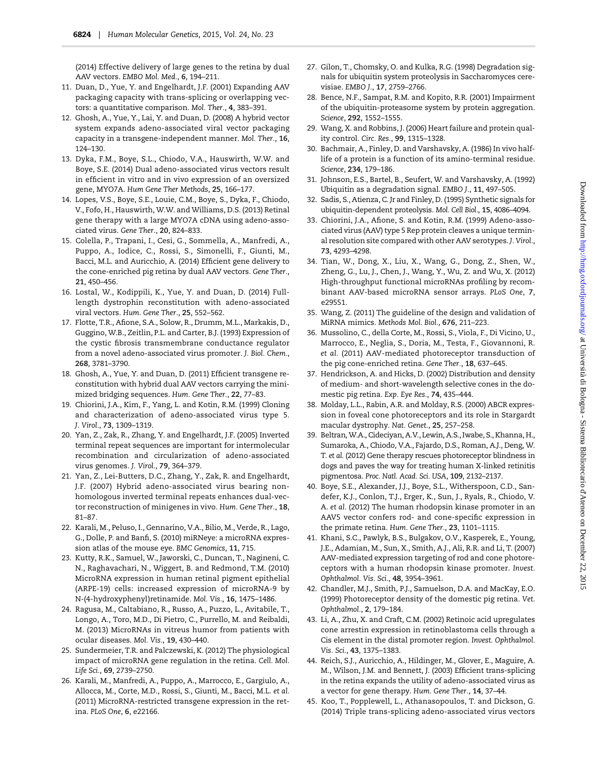<span id="page-13-0"></span>(2014) Effective delivery of large genes to the retina by dual AAV vectors. EMBO Mol. Med., 6, 194–211.

- 11. Duan, D., Yue, Y. and Engelhardt, J.F. (2001) Expanding AAV packaging capacity with trans-splicing or overlapping vectors: a quantitative comparison. Mol. Ther., 4, 383–391.
- 12. Ghosh, A., Yue, Y., Lai, Y. and Duan, D. (2008) A hybrid vector system expands adeno-associated viral vector packaging capacity in a transgene-independent manner. Mol. Ther., 16, 124–130.
- 13. Dyka, F.M., Boye, S.L., Chiodo, V.A., Hauswirth, W.W. and Boye, S.E. (2014) Dual adeno-associated virus vectors result in efficient in vitro and in vivo expression of an oversized gene, MYO7A. Hum Gene Ther Methods, 25, 166–177.
- 14. Lopes, V.S., Boye, S.E., Louie, C.M., Boye, S., Dyka, F., Chiodo, V., Fofo, H., Hauswirth, W.W. and Williams, D.S. (2013) Retinal gene therapy with a large MYO7A cDNA using adeno-associated virus. Gene Ther., 20, 824–833.
- 15. Colella, P., Trapani, I., Cesi, G., Sommella, A., Manfredi, A., Puppo, A., Iodice, C., Rossi, S., Simonelli, F., Giunti, M., Bacci, M.L. and Auricchio, A. (2014) Efficient gene delivery to the cone-enriched pig retina by dual AAV vectors. Gene Ther., 21, 450–456.
- 16. Lostal, W., Kodippili, K., Yue, Y. and Duan, D. (2014) Fulllength dystrophin reconstitution with adeno-associated viral vectors. Hum. Gene Ther., 25, 552–562.
- 17. Flotte, T.R., Afione, S.A., Solow, R., Drumm, M.L., Markakis, D., Guggino, W.B., Zeitlin, P.L. and Carter, B.J. (1993) Expression of the cystic fibrosis transmembrane conductance regulator from a novel adeno-associated virus promoter. J. Biol. Chem., 268, 3781–3790.
- 18. Ghosh, A., Yue, Y. and Duan, D. (2011) Efficient transgene reconstitution with hybrid dual AAV vectors carrying the minimized bridging sequences. Hum. Gene Ther., 22, 77–83.
- 19. Chiorini, J.A., Kim, F., Yang, L. and Kotin, R.M. (1999) Cloning and characterization of adeno-associated virus type 5. J. Virol., 73, 1309–1319.
- 20. Yan, Z., Zak, R., Zhang, Y. and Engelhardt, J.F. (2005) Inverted terminal repeat sequences are important for intermolecular recombination and circularization of adeno-associated virus genomes. J. Virol., 79, 364–379.
- 21. Yan, Z., Lei-Butters, D.C., Zhang, Y., Zak, R. and Engelhardt, J.F. (2007) Hybrid adeno-associated virus bearing nonhomologous inverted terminal repeats enhances dual-vector reconstruction of minigenes in vivo. Hum. Gene Ther., 18, 81–87.
- 22. Karali, M., Peluso, I., Gennarino, V.A., Bilio, M., Verde, R., Lago, G., Dolle, P. and Banfi, S. (2010) miRNeye: a microRNA expression atlas of the mouse eye. BMC Genomics, 11, 715.
- 23. Kutty, R.K., Samuel, W., Jaworski, C., Duncan, T., Nagineni, C. N., Raghavachari, N., Wiggert, B. and Redmond, T.M. (2010) MicroRNA expression in human retinal pigment epithelial (ARPE-19) cells: increased expression of microRNA-9 by N-(4-hydroxyphenyl)retinamide. Mol. Vis., 16, 1475–1486.
- 24. Ragusa, M., Caltabiano, R., Russo, A., Puzzo, L., Avitabile, T., Longo, A., Toro, M.D., Di Pietro, C., Purrello, M. and Reibaldi, M. (2013) MicroRNAs in vitreus humor from patients with ocular diseases. Mol. Vis., 19, 430–440.
- 25. Sundermeier, T.R. and Palczewski, K. (2012) The physiological impact of microRNA gene regulation in the retina. Cell. Mol. Life Sci., 69, 2739–2750.
- 26. Karali, M., Manfredi, A., Puppo, A., Marrocco, E., Gargiulo, A., Allocca, M., Corte, M.D., Rossi, S., Giunti, M., Bacci, M.L. et al. (2011) MicroRNA-restricted transgene expression in the retina. PLoS One, 6, e22166.
- 27. Gilon, T., Chomsky, O. and Kulka, R.G. (1998) Degradation signals for ubiquitin system proteolysis in Saccharomyces cerevisiae. EMBO J., 17, 2759–2766.
- 28. Bence, N.F., Sampat, R.M. and Kopito, R.R. (2001) Impairment of the ubiquitin-proteasome system by protein aggregation. Science, 292, 1552–1555.
- 29. Wang, X. and Robbins, J. (2006) Heart failure and protein quality control. Circ. Res., 99, 1315–1328.
- 30. Bachmair, A., Finley, D. and Varshavsky, A. (1986) In vivo halflife of a protein is a function of its amino-terminal residue. Science, 234, 179–186.
- 31. Johnson, E.S., Bartel, B., Seufert, W. and Varshavsky, A. (1992) Ubiquitin as a degradation signal. EMBO J., 11, 497–505.
- 32. Sadis, S., Atienza, C. Jr and Finley, D. (1995) Synthetic signals for ubiquitin-dependent proteolysis. Mol. Cell Biol., 15, 4086–4094.
- 33. Chiorini, J.A., Afione, S. and Kotin, R.M. (1999) Adeno-associated virus (AAV) type 5 Rep protein cleaves a unique terminal resolution site compared with other AAV serotypes. J. Virol., 73, 4293–4298.
- 34. Tian, W., Dong, X., Liu, X., Wang, G., Dong, Z., Shen, W., Zheng, G., Lu, J., Chen, J., Wang, Y., Wu, Z. and Wu, X. (2012) High-throughput functional microRNAs profiling by recombinant AAV-based microRNA sensor arrays. PLoS One, 7, e29551.
- 35. Wang, Z. (2011) The guideline of the design and validation of MiRNA mimics. Methods Mol. Biol., 676, 211–223.
- 36. Mussolino, C., della Corte, M., Rossi, S., Viola, F., Di Vicino, U., Marrocco, E., Neglia, S., Doria, M., Testa, F., Giovannoni, R. et al. (2011) AAV-mediated photoreceptor transduction of the pig cone-enriched retina. Gene Ther., 18, 637–645.
- 37. Hendrickson, A. and Hicks, D. (2002) Distribution and density of medium- and short-wavelength selective cones in the domestic pig retina. Exp. Eye Res., 74, 435–444.
- 38. Molday, L.L., Rabin, A.R. and Molday, R.S. (2000) ABCR expression in foveal cone photoreceptors and its role in Stargardt macular dystrophy. Nat. Genet., 25, 257–258.
- 39. Beltran,W.A., Cideciyan, A.V., Lewin, A.S., Iwabe, S., Khanna, H., Sumaroka, A., Chiodo, V.A., Fajardo, D.S., Roman, A.J., Deng, W. T. et al. (2012) Gene therapy rescues photoreceptor blindness in dogs and paves the way for treating human X-linked retinitis pigmentosa. Proc. Natl. Acad. Sci. USA, 109, 2132–2137.
- 40. Boye, S.E., Alexander, J.J., Boye, S.L., Witherspoon, C.D., Sandefer, K.J., Conlon, T.J., Erger, K., Sun, J., Ryals, R., Chiodo, V. A. et al. (2012) The human rhodopsin kinase promoter in an AAV5 vector confers rod- and cone-specific expression in the primate retina. Hum. Gene Ther., 23, 1101–1115.
- 41. Khani, S.C., Pawlyk, B.S., Bulgakov, O.V., Kasperek, E., Young, J.E., Adamian, M., Sun, X., Smith, A.J., Ali, R.R. and Li, T. (2007) AAV-mediated expression targeting of rod and cone photoreceptors with a human rhodopsin kinase promoter. Invest. Ophthalmol. Vis. Sci., 48, 3954–3961.
- 42. Chandler, M.J., Smith, P.J., Samuelson, D.A. and MacKay, E.O. (1999) Photoreceptor density of the domestic pig retina. Vet. Ophthalmol., 2, 179–184.
- 43. Li, A., Zhu, X. and Craft, C.M. (2002) Retinoic acid upregulates cone arrestin expression in retinoblastoma cells through a Cis element in the distal promoter region. Invest. Ophthalmol. Vis. Sci., 43, 1375–1383.
- 44. Reich, S.J., Auricchio, A., Hildinger, M., Glover, E., Maguire, A. M., Wilson, J.M. and Bennett, J. (2003) Efficient trans-splicing in the retina expands the utility of adeno-associated virus as a vector for gene therapy. Hum. Gene Ther., 14, 37–44.
- 45. Koo, T., Popplewell, L., Athanasopoulos, T. and Dickson, G. (2014) Triple trans-splicing adeno-associated virus vectors